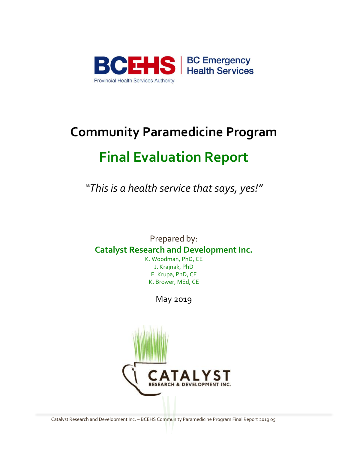

# **Community Paramedicine Program Final Evaluation Report**

*"This is a health service that says, yes!"*

Prepared by: **Catalyst Research and Development Inc.**

K. Woodman, PhD, CE J. Krajnak, PhD E. Krupa, PhD, CE K. Brower, MEd, CE

May 2019

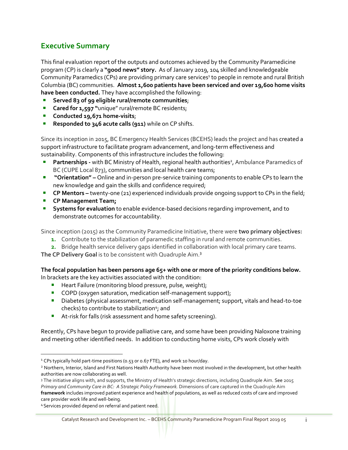## **Executive Summary**

This final evaluation report of the outputs and outcomes achieved by the Community Paramedicine program (CP) is clearly a **"good news" story.** As of January 2019, 104 skilled and knowledgeable Community Paramedics (CPs) are providing primary care services<sup>1</sup> to people in remote and rural British Columbia (BC) communities. **Almost 1,600 patients have been serviced and over 19,600 home visits have been conducted.** They have accomplished the following:

- Served 83 of 99 eligible rural/remote communities;
- **Cared for 1,597 "**unique" rural/remote BC residents;
- **Conducted 19,671 home-visits**;
- **Responded to 346 acute calls (911)** while on CP shifts.

Since its inception in 2015, BC Emergency Health Services (BCEHS) leads the project and has created a support infrastructure to facilitate program advancement, and long-term effectiveness and sustainability. Components of this infrastructure includes the following:

- **Partnerships** with BC Ministry of Health, regional health authorities<sup>2</sup>, Ambulance Paramedics of BC (CUPE Local 873), communities and local health care teams;
- **•** "Orientation" Online and in-person pre-service training components to enable CPs to learn the new knowledge and gain the skills and confidence required;
- **CP Mentors** twenty-one (21) experienced individuals provide ongoing support to CPs in the field;
- **CP Management Team;**

**EXECT Systems for evaluation** to enable evidence-based decisions regarding improvement, and to demonstrate outcomes for accountability.

Since inception (2015) as the Community Paramedicine Initiative, there were **two primary objectives:**

- **1.** Contribute to the stabilization of paramedic staffing in rural and remote communities.
- **2.** Bridge health service delivery gaps identified in collaboration with local primary care teams.

**The CP Delivery Goal** is to be consistent with Quadruple Aim.**<sup>3</sup>**

# **The focal population has been persons age 65+ with one or more of the priority conditions below.**

In brackets are the key activities associated with the condition:

- Heart Failure (monitoring blood pressure, pulse, weight);
- COPD (oxygen saturation, medication self-management support);
- **•** Diabetes (physical assessment, medication self-management; support, vitals and head-to-toe checks) to contribute to stabilization<sup>4</sup>; and
- At-risk for falls (risk assessment and home safety screening).

Recently, CPs have begun to provide palliative care, and some have been providing Naloxone training and meeting other identified needs. In addition to conducting home visits, CPs work closely with

<sup>&</sup>lt;sup>1</sup> CPs typically hold part-time positions (0.53 or 0.67 FTE), and work 10 hour/day.

<sup>&</sup>lt;sup>2</sup> Northern, Interior, Island and First Nations Health Authority have been most involved in the development, but other health authorities are now collaborating as well.

<sup>&</sup>lt;sup>3</sup> The initiative aligns with, and supports, the Ministry of Health's strategic directions, including Quadruple Aim. See 2015 *Primary and Community Care in BC: A Strategic Policy Framework.* Dimensions of care captured in the Quadruple Aim **framework** includes improved patient experience and health of populations, as well as reduced costs of care and improved care provider work life and well-being.

<sup>4</sup>Services provided depend on referral and patient need.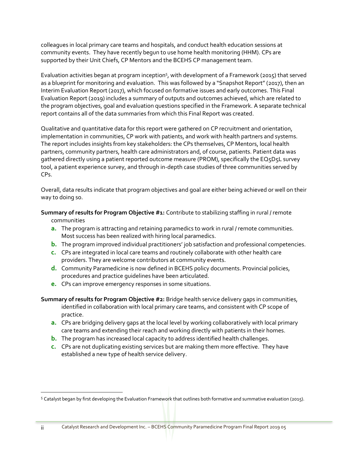colleagues in local primary care teams and hospitals, and conduct health education sessions at community events. They have recently begun to use home health monitoring (HHM). CPs are supported by their Unit Chiefs, CP Mentors and the BCEHS CP management team.

Evaluation activities began at program inception<sup>5</sup>, with development of a Framework (2015) that served as a blueprint for monitoring and evaluation. This was followed by a "Snapshot Report" (2017), then an Interim Evaluation Report (2017), which focused on formative issues and early outcomes. This Final Evaluation Report (2019) includes a summary of outputs and outcomes achieved, which are related to the program objectives, goal and evaluation questions specified in the Framework. A separate technical report contains all of the data summaries from which this Final Report was created.

Qualitative and quantitative data for this report were gathered on CP recruitment and orientation, implementation in communities, CP work with patients, and work with health partners and systems. The report includes insights from key stakeholders: the CPs themselves, CP Mentors, local health partners, community partners, health care administrators and, of course, patients. Patient data was gathered directly using a patient reported outcome measure (PROM), specifically the EQ5D5L survey tool, a patient experience survey, and through in-depth case studies of three communities served by  $CPs$ 

Overall, data results indicate that program objectives and goal are either being achieved or well on their way to doing so.

#### **Summary of results for Program Objective #1:** Contribute to stabilizing staffing in rural / remote communities

- **a.** The program is attracting and retaining paramedics to work in rural / remote communities. Most success has been realized with hiring local paramedics.
- **b.** The program improved individual practitioners' job satisfaction and professional competencies.
- **c.** CPs are integrated in local care teams and routinely collaborate with other health care providers. They are welcome contributors at community events.
- **d.** Community Paramedicine is now defined in BCEHS policy documents. Provincial policies, procedures and practice guidelines have been articulated.
- **e.** CPs can improve emergency responses in some situations.
- **Summary of results for Program Objective #2:** Bridge health service delivery gaps in communities, identified in collaboration with local primary care teams, and consistent with CP scope of practice.
	- **a.** CPs are bridging delivery gaps at the local level by working collaboratively with local primary care teams and extending their reach and working directly with patients in their homes.
	- **b.** The program has increased local capacity to address identified health challenges.
	- **c.** CPs are not duplicating existing services but are making them more effective. They have established a new type of health service delivery.

 $5$  Catalyst began by first developing the Evaluation Framework that outlines both formative and summative evaluation (2015).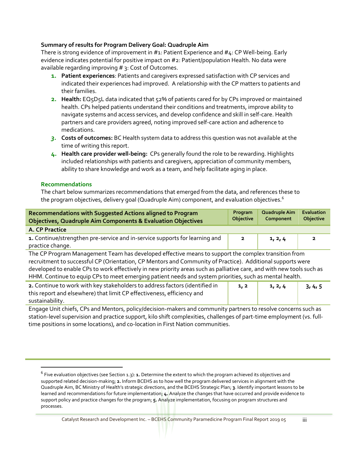#### **Summary of results for Program Delivery Goal: Quadruple Aim**

There is strong evidence of improvement in #1: Patient Experience and #4: CP Well-being. Early evidence indicates potential for positive impact on #2: Patient/population Health. No data were available regarding improving # 3: Cost of Outcomes.

- **1. Patient experiences**: Patients and caregivers expressed satisfaction with CP services and indicated their experiences had improved. A relationship with the CP matters to patients and their families.
- **2. Health:** EQ5D5L data indicated that 52% of patients cared for by CPs improved or maintained health. CPs helped patients understand their conditions and treatments, improve ability to navigate systems and access services, and develop confidence and skill in self-care. Health partners and care providers agreed, noting improved self-care action and adherence to medications.
- *3.* **Costs of outcomes:** BC Health system data to address this question was not available at the time of writing this report.
- **4. Health care provider well-being:** CPs generally found the role to be rewarding. Highlights included relationships with patients and caregivers, appreciation of community members, ability to share knowledge and work as a team, and help facilitate aging in place.

#### **Recommendations**

 $\overline{a}$ 

The chart below summarizes recommendations that emerged from the data, and references these to the program objectives, delivery goal (Quadruple Aim) component, and evaluation objectives.<sup>6</sup>

| Recommendations with Suggested Actions aligned to Program<br><b>Objectives, Quadruple Aim Components &amp; Evaluation Objectives</b>                                                                                                                                                                                                                                                                                                                  |      | Quadruple Aim<br>Component | Evaluation<br>Objective |
|-------------------------------------------------------------------------------------------------------------------------------------------------------------------------------------------------------------------------------------------------------------------------------------------------------------------------------------------------------------------------------------------------------------------------------------------------------|------|----------------------------|-------------------------|
| A. CP Practice                                                                                                                                                                                                                                                                                                                                                                                                                                        |      |                            |                         |
| 1. Continue/strengthen pre-service and in-service supports for learning and<br>practice change.                                                                                                                                                                                                                                                                                                                                                       |      | 1, 2, 4                    | $\overline{\mathbf{2}}$ |
| The CP Program Management Team has developed effective means to support the complex transition from<br>recruitment to successful CP (Orientation, CP Mentors and Community of Practice). Additional supports were<br>developed to enable CPs to work effectively in new priority areas such as palliative care, and with new tools such as<br>HHM. Continue to equip CPs to meet emerging patient needs and system priorities, such as mental health. |      |                            |                         |
| 2. Continue to work with key stakeholders to address factors (identified in<br>this report and elsewhere) that limit CP effectiveness, efficiency and<br>sustainability.                                                                                                                                                                                                                                                                              | 1, 2 | 1, 2, 4                    | 3, 4, 5                 |

Engage Unit chiefs, CPs and Mentors, policy/decision-makers and community partners to resolve concerns such as station-level supervision and practice support, kilo shift complexities, challenges of part-time employment (vs. fulltime positions in some locations), and co-location in First Nation communities.

<sup>&</sup>lt;sup>6</sup> Five evaluation objectives (see Section 1.3): **1.** Determine the extent to which the program achieved its objectives and supported related decision-making; **2.** Inform BCEHS as to how well the program delivered services in alignment with the Quadruple Aim, BC Ministry of Health's strategic directions, and the BCEHS Strategic Plan; **3**. Identify important lessons to be learned and recommendations for future implementation; **4.** Analyze the changes that have occurred and provide evidence to support policy and practice changes for the program; **5.** Analyze implementation, focusing on program structures and processes.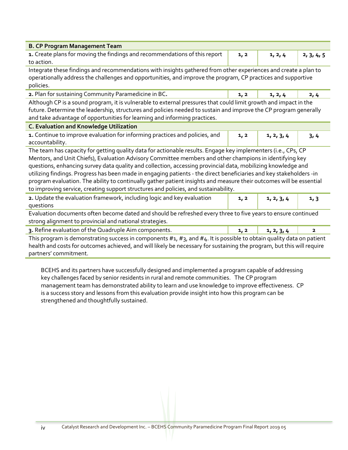| <b>B. CP Program Management Team</b>                                                                                                                                                                                                                                                                                                                                                                                                                                                                                                                                                                                                                                          |      |            |            |  |  |  |
|-------------------------------------------------------------------------------------------------------------------------------------------------------------------------------------------------------------------------------------------------------------------------------------------------------------------------------------------------------------------------------------------------------------------------------------------------------------------------------------------------------------------------------------------------------------------------------------------------------------------------------------------------------------------------------|------|------------|------------|--|--|--|
| 1. Create plans for moving the findings and recommendations of this report<br>to action.                                                                                                                                                                                                                                                                                                                                                                                                                                                                                                                                                                                      | 1, 2 | 1, 2, 4    | 2, 3, 4, 5 |  |  |  |
| Integrate these findings and recommendations with insights gathered from other experiences and create a plan to<br>operationally address the challenges and opportunities, and improve the program, CP practices and supportive<br>policies.                                                                                                                                                                                                                                                                                                                                                                                                                                  |      |            |            |  |  |  |
| 2. Plan for sustaining Community Paramedicine in BC.                                                                                                                                                                                                                                                                                                                                                                                                                                                                                                                                                                                                                          | 1, 2 | 1, 2, 4    | 2,4        |  |  |  |
| Although CP is a sound program, it is vulnerable to external pressures that could limit growth and impact in the<br>future. Determine the leadership, structures and policies needed to sustain and improve the CP program generally<br>and take advantage of opportunities for learning and informing practices.                                                                                                                                                                                                                                                                                                                                                             |      |            |            |  |  |  |
| <b>C. Evaluation and Knowledge Utilization</b>                                                                                                                                                                                                                                                                                                                                                                                                                                                                                                                                                                                                                                |      |            |            |  |  |  |
| 1. Continue to improve evaluation for informing practices and policies, and<br>accountability.                                                                                                                                                                                                                                                                                                                                                                                                                                                                                                                                                                                | 1, 2 | 1, 2, 3, 4 | 3,4        |  |  |  |
| The team has capacity for getting quality data for actionable results. Engage key implementers (i.e., CPs, CP<br>Mentors, and Unit Chiefs), Evaluation Advisory Committee members and other champions in identifying key<br>questions, enhancing survey data quality and collection, accessing provincial data, mobilizing knowledge and<br>utilizing findings. Progress has been made in engaging patients - the direct beneficiaries and key stakeholders -in<br>program evaluation. The ability to continually gather patient insights and measure their outcomes will be essential<br>to improving service, creating support structures and policies, and sustainability. |      |            |            |  |  |  |
| 2. Update the evaluation framework, including logic and key evaluation<br>questions                                                                                                                                                                                                                                                                                                                                                                                                                                                                                                                                                                                           | 1, 2 | 1, 2, 3, 4 | 1, 3       |  |  |  |
| Evaluation documents often become dated and should be refreshed every three to five years to ensure continued<br>strong alignment to provincial and national strategies.                                                                                                                                                                                                                                                                                                                                                                                                                                                                                                      |      |            |            |  |  |  |
| 3. Refine evaluation of the Quadruple Aim components.                                                                                                                                                                                                                                                                                                                                                                                                                                                                                                                                                                                                                         | 1, 2 | 1, 2, 3, 4 | 2          |  |  |  |
| This program is demonstrating success in components $#_1, #_3$ , and $#_4$ . It is possible to obtain quality data on patient<br>health and costs for outcomes achieved, and will likely be necessary for sustaining the program, but this will require<br>partners' commitment.                                                                                                                                                                                                                                                                                                                                                                                              |      |            |            |  |  |  |

BCEHS and its partners have successfully designed and implemented a program capable of addressing key challenges faced by senior residents in rural and remote communities. The CP program management team has demonstrated ability to learn and use knowledge to improve effectiveness. CP is a success story and lessons from this evaluation provide insight into how this program can be strengthened and thoughtfully sustained.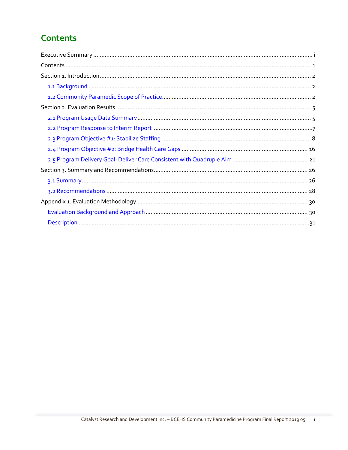# **Contents**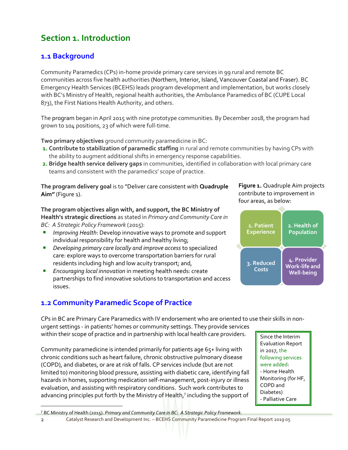# **Section 1. Introduction**

## **1.1 Background**

Community Paramedics (CPs) in-home provide primary care services in 99 rural and remote BC communities across five health authorities (Northern, Interior, Island, Vancouver Coastal and Fraser). BC Emergency Health Services (BCEHS) leads program development and implementation, but works closely with BC's Ministry of Health, regional health authorities, the Ambulance Paramedics of BC (CUPE Local 873), the First Nations Health Authority, and others.

The program began in April 2015 with nine prototype communities. By December 2018, the program had grown to 104 positions, 23 of which were full-time.

**Two primary objectives** ground community paramedicine in BC:

- **1. Contribute to stabilization of paramedic staffing** in rural and remote communities by having CPs with the ability to augment additional shifts in emergency response capabilities.
- **2. Bridge health service delivery gaps** in communities, identified in collaboration with local primary care teams and consistent with the paramedics' scope of practice.

**The program delivery goal** is to "Deliver care consistent with **Quadruple Aim"** (Figure 1).

#### **Figure 1.** Quadruple Aim projects contribute to improvement in four areas, as below:



#### **The program objectives align with, and support, the BC Ministry of Health's strategic directions** as stated in *Primary and Community Care in BC: A Strategic Policy Framework* (2015):

- *Improving Health:* Develop innovative ways to promote and support individual responsibility for health and healthy living;
- *Developing primary care locally and improve access* to specialized care: explore ways to overcome transportation barriers for rural residents including high and low acuity transport; and,
- **Encouraging local innovation** in meeting health needs: create partnerships to find innovative solutions to transportation and access issues.

# **1.2 Community Paramedic Scope of Practice**

CPs in BC are Primary Care Paramedics with IV endorsement who are oriented to use their skills in nonurgent settings - in patients' homes or community settings. They provide services

within their scope of practice and in partnership with local health care providers.

Community paramedicine is intended primarily for patients age 65+ living with chronic conditions such as heart failure, chronic obstructive pulmonary disease (COPD), and diabetes, or are at risk of falls. CP services include (but are not limited to) monitoring blood pressure, assisting with diabetic care, identifying fall hazards in homes, supporting medication self-management, post-injury or illness evaluation, and assisting with respiratory conditions. Such work contributes to advancing principles put forth by the Ministry of Health, 7 including the support of

Since the Interim Evaluation Report in 2017, the following services were added: - Home Health Monitoring (for HF, COPD and Diabetes) - Palliative Care

<sup>7</sup> BC Ministry of Health (2015). *Primary and Community Care in BC: A Strategic Policy Framework.*

<sup>2</sup> Catalyst Research and Development Inc. – BCEHS Community Paramedicine Program Final Report 2019 05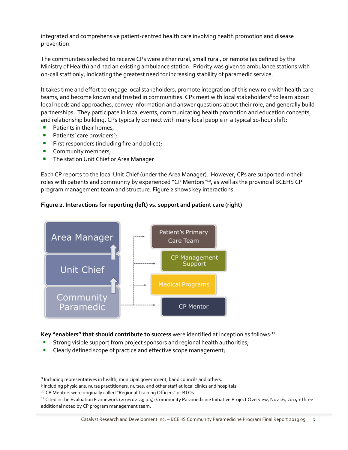integrated and comprehensive patient-centred health care involving health promotion and disease prevention.

The communities selected to receive CPs were either rural, small rural, or remote (as defined by the Ministry of Health) and had an existing ambulance station. Priority was given to ambulance stations with on-call staff only, indicating the greatest need for increasing stability of paramedic service.

It takes time and effort to engage local stakeholders, promote integration of this new role with health care teams, and become known and trusted in communities. CPs meet with local stakeholders<sup>8</sup> to learn about local needs and approaches, convey information and answer questions about their role, and generally build partnerships. They participate in local events, communicating health promotion and education concepts, and relationship building. CPs typically connect with many local people in a typical 10-hour shift:

- Patients in their homes,
- **•** Patients' care providers<sup>9</sup>;
- **EXECT:** First responders (including fire and police);
- Community members;

**■** The station Unit Chief or Area Manager

Each CP reports to the local Unit Chief (under the Area Manager). However, CPs are supported in their roles with patients and community by experienced "CP Mentors"<sup>10</sup>, as well as the provincial BCEHS CP program management team and structure. Figure 2 shows key interactions.





**Key "enablers" that should contribute to success** were identified at inception as follows:<sup>11</sup>

- Strong visible support from project sponsors and regional health authorities;
- Clearly defined scope of practice and effective scope management;

 $^8$  Including representatives in health, municipal government, band councils and others.

<sup>9</sup> Including physicians, nurse practitioners, nurses, and other staff at local clinics and hospitals

<sup>&</sup>lt;sup>10</sup> CP Mentors were originally called "Regional Training Officers" or RTOs

<sup>&</sup>lt;sup>11</sup> Cited in the Evaluation Framework (2016 02 23; p.5): Community Paramedicine Initiative Project Overview, Nov 16, 2015 + three additional noted by CP program management team.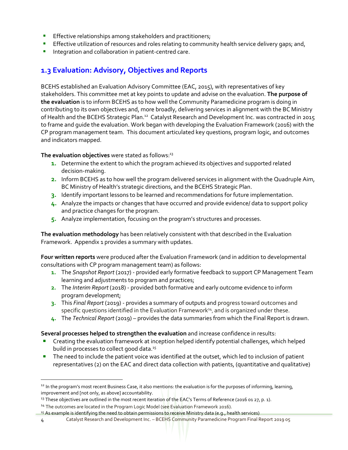- **Effective relationships among stakeholders and practitioners;**
- **Effective utilization of resources and roles relating to community health service delivery gaps; and,**
- Integration and collaboration in patient-centred care.

## **1.3 Evaluation: Advisory, Objectives and Reports**

BCEHS established an Evaluation Advisory Committee (EAC, 2015), with representatives of key stakeholders. This committee met at key points to update and advise on the evaluation. **The purpose of the evaluation** is to inform BCEHS as to how well the Community Paramedicine program is doing in contributing to its own objectives and, more broadly, delivering services in alignment with the BC Ministry of Health and the BCEHS Strategic Plan.<sup>12</sup> Catalyst Research and Development Inc. was contracted in 2015 to frame and guide the evaluation. Work began with developing the Evaluation Framework (2016) with the CP program management team. This document articulated key questions, program logic, and outcomes and indicators mapped.

**The evaluation objectives** were stated as follows: 13

- **1.** Determine the extent to which the program achieved its objectives and supported related decision-making.
- **2.** Inform BCEHS as to how well the program delivered services in alignment with the Quadruple Aim, BC Ministry of Health's strategic directions, and the BCEHS Strategic Plan.
- **3.** Identify important lessons to be learned and recommendations for future implementation.
- **4.** Analyze the impacts or changes that have occurred and provide evidence/ data to support policy and practice changes for the program.
- **5.** Analyze implementation, focusing on the program's structures and processes.

**The evaluation methodology** has been relatively consistent with that described in the Evaluation Framework. Appendix 1 provides a summary with updates.

**Four written reports** were produced after the Evaluation Framework (and in addition to developmental consultations with CP program management team) as follows:

- **1.** The *Snapshot Report* (2017) provided early formative feedback to support CP Management Team learning and adjustments to program and practices;
- **2.** The *Interim Report* (2018) provided both formative and early outcome evidence to inform program development;
- **3.** This *Final Report* (2019) provides a summary of outputs and progress toward outcomes and specific questions identified in the Evaluation Framework<sup>14</sup>, and is organized under these.
- **4.** The *Technical Report* (2019) provides the data summaries from which the Final Report is drawn.

**Several processes helped to strengthen the evaluation** and increase confidence in results:

- Creating the evaluation framework at inception helped identify potential challenges, which helped build in processes to collect good data.<sup>15</sup>
- **The need to include the patient voice was identified at the outset, which led to inclusion of patient** representatives (2) on the EAC and direct data collection with patients, (quantitative and qualitative)

<sup>&</sup>lt;sup>12</sup> In the program's most recent Business Case, it also mentions: the evaluation is for the purposes of informing, learning, improvement and [not only, as above] accountability.

<sup>&</sup>lt;sup>13</sup> These objectives are outlined in the most recent iteration of the EAC's Terms of Reference (2016 01 27, p. 1).

<sup>&</sup>lt;sup>14</sup> The outcomes are located in the Program Logic Model (see Evaluation Framework 2016).

<sup>15</sup> As example is identifying the need to obtain permissions to receive Ministry data (e.g., health services)

<sup>4</sup> Catalyst Research and Development Inc. – BCEHS Community Paramedicine Program Final Report 2019 05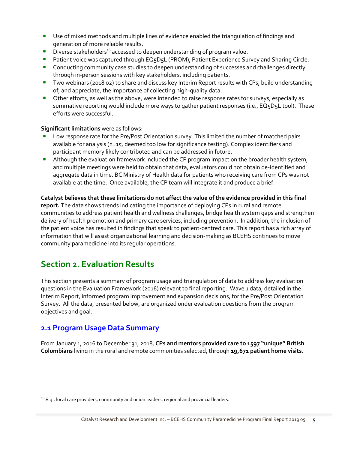- Use of mixed methods and multiple lines of evidence enabled the triangulation of findings and generation of more reliable results.
- **•** Diverse stakeholders<sup>16</sup> accessed to deepen understanding of program value.
- Patient voice was captured through EQ5D5L (PROM), Patient Experience Survey and Sharing Circle.
- **•** Conducting community case studies to deepen understanding of successes and challenges directly through in-person sessions with key stakeholders, including patients.
- **•** Two webinars (2018 02) to share and discuss key Interim Report results with CPs, build understanding of, and appreciate, the importance of collecting high-quality data.
- **•** Other efforts, as well as the above, were intended to raise response rates for surveys, especially as summative reporting would include more ways to gather patient responses (i.e., EQ5D5L tool). These efforts were successful.

#### **Significant limitations** were as follows:

- Low response rate for the Pre/Post Orientation survey. This limited the number of matched pairs available for analysis (n=15, deemed too low for significance testing). Complex identifiers and participant memory likely contributed and can be addressed in future.
- **E** Although the evaluation framework included the CP program impact on the broader health system, and multiple meetings were held to obtain that data, evaluators could not obtain de-identified and aggregate data in time. BC Ministry of Health data for patients who receiving care from CPs was not available at the time. Once available, the CP team will integrate it and produce a brief.

#### **Catalyst believes that these limitations do not affect the value of the evidence provided in this final report.** The data shows trends indicating the importance of deploying CPs in rural and remote communities to address patient health and wellness challenges, bridge health system gaps and strengthen delivery of health promotion and primary care services, including prevention. In addition, the inclusion of the patient voice has resulted in findings that speak to patient-centred care. This report has a rich array of information that will assist organizational learning and decision-making as BCEHS continues to move community paramedicine into its regular operations.

# **Section 2. Evaluation Results**

This section presents a summary of program usage and triangulation of data to address key evaluation questions in the Evaluation Framework (2016) relevant to final reporting. Wave 1 data, detailed in the Interim Report, informed program improvement and expansion decisions, for the Pre/Post Orientation Survey. All the data, presented below, are organized under evaluation questions from the program objectives and goal.

## **2.1 Program Usage Data Summary**

From January 1, 2016 to December 31, 2018, **CPs and mentors provided care to 1597 "unique" British Columbians** living in the rural and remote communities selected, through **19,671 patient home visits**.

 $16$  E.g., local care providers, community and union leaders, regional and provincial leaders.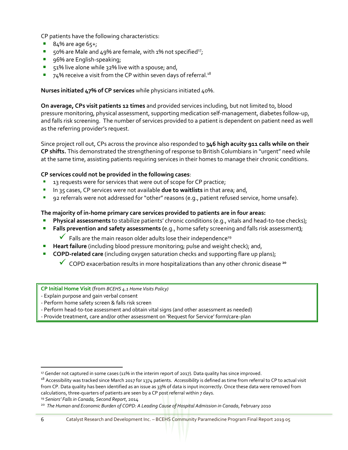CP patients have the following characteristics:

- $84\%$  are age  $65+$ ;
- $50\%$  are Male and 49% are female, with 1% not specified<sup>17</sup>;
- 96% are English-speaking;
- 51% live alone while 32% live with a spouse; and,
- $\blacksquare$  74% receive a visit from the CP within seven days of referral.<sup>18</sup>

#### **Nurses initiated 47% of CP services** while physicians initiated 40%.

**On average, CPs visit patients 12 times** and provided services including, but not limited to, blood pressure monitoring, physical assessment, supporting medication self-management, diabetes follow-up, and falls risk screening. The number of services provided to a patient is dependent on patient need as well as the referring provider's request.

Since project roll out, CPs across the province also responded to **346 high acuity 911 calls while on their CP shifts.** This demonstrated the strengthening of response to British Columbians in "urgent" need while at the same time, assisting patients requiring services in their homes to manage their chronic conditions.

#### **CP services could not be provided in the following cases**:

- 13 requests were for services that were out of scope for CP practice;
- In 35 cases, CP services were not available **due to waitlists** in that area; and,
- 92 referrals were not addressed for "other" reasons (e.g., patient refused service, home unsafe).

#### **The majority of in-home primary care services provided to patients are in four areas:**

- **Physical assessments** to stabilize patients' chronic conditions (e.g., vitals and head-to-toe checks);
- **Falls prevention and safety assessments (**e.g., home safety screening and falls risk assessment**)**;
	- $\checkmark$  Falls are the main reason older adults lose their independence<sup>19</sup>
- **Heart failure** (including blood pressure monitoring; pulse and weight check); and,
- **EXPD-related care** (including oxygen saturation checks and supporting flare up plans);
	- ✓ COPD exacerbation results in more hospitalizations than any other chronic disease **<sup>20</sup>**

**CP Initial Home Visit** (from *BCEHS 4.1 Home Visits Policy)*

- Explain purpose and gain verbal consent
- Perform home safety screen & falls risk screen
- Perform head-to-toe assessment and obtain vital signs (and other assessment as needed)
- Provide treatment, care and/or other assessment on 'Request for Service' form/care-plan

<sup>19</sup> *Seniors' Falls in Canada, Second Report*, 2014

 $\overline{a}$ 

<sup>17</sup> Gender not captured in some cases (11% in the interim report of 2017). Data quality has since improved.

<sup>18</sup> Accessibility was tracked since March 2017 for 1374 patients. *Accessibility* is defined as time from referral to CP to actual visit from CP. Data quality has been identified as an issue as 33% of data is input incorrectly. Once these data were removed from calculations, three-quarters of patients are seen by a CP post referral within 7 days.

<sup>&</sup>lt;sup>20</sup> The Human and Economic Burden of COPD: A Leading Cause of Hospital Admission in Canada, February 2010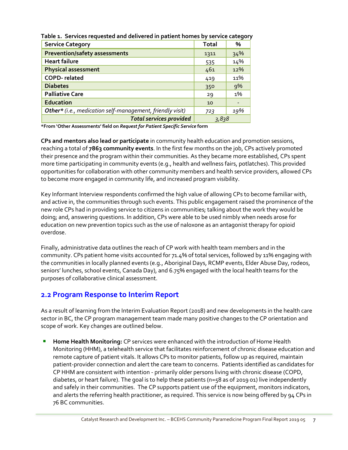| <b>Service Category</b>                                   | <b>Total</b> | %   |
|-----------------------------------------------------------|--------------|-----|
| <b>Prevention/safety assessments</b>                      | 1311         | 34% |
| <b>Heart failure</b>                                      | 535          | 14% |
| <b>Physical assessment</b>                                | 461          | 12% |
| <b>COPD-related</b>                                       | 419          | 11% |
| <b>Diabetes</b>                                           | 350          | 9%  |
| <b>Palliative Care</b>                                    | 29           | 1%  |
| <b>Education</b>                                          | 10           |     |
| Other* (i.e., medication self-management, friendly visit) | 723          | 19% |
| <b>Total services provided</b>                            | 3,838        |     |

**Table 1. Services requested and delivered in patient homes by service category**

**\*From 'Other Assessments' field on** *Request for Patient Specific Service* **form**

**CPs and mentors also lead or participate** in community health education and promotion sessions, reaching a total of **7863 community events**. In the first few months on the job, CPs actively promoted their presence and the program within their communities. As they became more established, CPs spent more time participating in community events (e.g., health and wellness fairs, potlatches). This provided opportunities for collaboration with other community members and health service providers, allowed CPs to become more engaged in community life, and increased program visibility.

Key Informant Interview respondents confirmed the high value of allowing CPs to become familiar with, and active in, the communities through such events. This public engagement raised the prominence of the new role CPs had in providing service to citizens in communities; talking about the work they would be doing; and, answering questions. In addition, CPs were able to be used nimbly when needs arose for education on new prevention topics such as the use of naloxone as an antagonist therapy for opioid overdose.

Finally, administrative data outlines the reach of CP work with health team members and in the community. CPs patient home visits accounted for 71.4% of total services, followed by 11% engaging with the communities in locally planned events (e.g., Aboriginal Days, RCMP events, Elder Abuse Day, rodeos, seniors' lunches, school events, Canada Day), and 6.75% engaged with the local health teams for the purposes of collaborative clinical assessment.

#### **2.2 Program Response to Interim Report**

As a result of learning from the Interim Evaluation Report (2018) and new developments in the health care sector in BC, the CP program management team made many positive changes to the CP orientation and scope of work. Key changes are outlined below.

**E** Home Health Monitoring: CP services were enhanced with the introduction of Home Health Monitoring (HHM), a telehealth service that facilitates reinforcement of chronic disease education and remote capture of patient vitals. It allows CPs to monitor patients, follow up as required, maintain patient-provider connection and alert the care team to concerns.Patients identified as candidates for CP HHM are consistent with intention - primarily older persons living with chronic disease (COPD, diabetes, or heart failure). The goal is to help these patients (n=58 as of 2019 01) live independently and safely in their communities. The CP supports patient use of the equipment, monitors indicators, and alerts the referring health practitioner, as required. This service is now being offered by 94 CPs in 76 BC communities.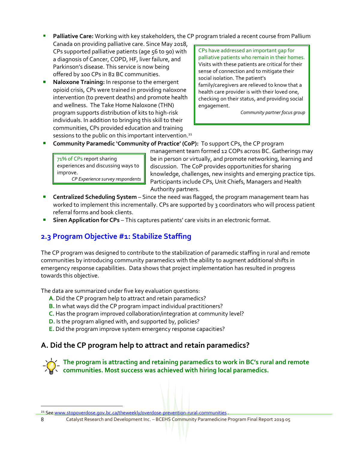**• Palliative Care:** Working with key stakeholders, the CP program trialed a recent course from Pallium

Canada on providing palliative care. Since May 2018, CPs supported palliative patients (age 56 to 90) with a diagnosis of Cancer, COPD, HF, liver failure, and Parkinson's disease. This service is now being offered by 100 CPs in 82 BC communities.

■ **Naloxone Training:** In response to the emergent opioid crisis, CPs were trained in providing naloxone intervention (to prevent deaths) and promote health and wellness. The Take Home Naloxone (THN) program supports distribution of kits to high-risk individuals. In addition to bringing this skill to their communities, CPs provided education and training sessions to the public on this important intervention.<sup>21</sup>

CPs have addressed an important gap for palliative patients who remain in their homes. Visits with these patients are critical for their sense of connection and to mitigate their social isolation. The patient's family/caregivers are relieved to know that a health care provider is with their loved one, checking on their status, and providing social engagement.

*Community partner focus group* 

▪ **Community Paramedic 'Community of Practice' (CoP):** To support CPs, the CP program

71% of CPs report sharing experiences and discussing ways to improve. *CP Experience survey respondents*

management team formed 12 COPs across BC. Gatherings may be in person or virtually, and promote networking, learning and discussion. The CoP provides opportunities for sharing knowledge, challenges, new insights and emerging practice tips. Participants include CPs, Unit Chiefs, Managers and Health Authority partners.

- **E** Centralized Scheduling System Since the need was flagged, the program management team has worked to implement this incrementally. CPs are supported by 3 coordinators who will process patient referral forms and book clients.
- **Siren Application for CPs** This captures patients' care visits in an electronic format.

# **2.3 Program Objective #1: Stabilize Staffing**

The CP program was designed to contribute to the stabilization of paramedic staffing in rural and remote communities by introducing community paramedics with the ability to augment additional shifts in emergency response capabilities. Data shows that project implementation has resulted in progress towards this objective.

The data are summarized under five key evaluation questions:

- **A**. Did the CP program help to attract and retain paramedics?
- **B.** In what ways did the CP program impact individual practitioners?
- **C.** Has the program improved collaboration/integration at community level?
- **D.** Is the program aligned with, and supported by, policies?
- **E.** Did the program improve system emergency response capacities?

# **A. Did the CP program help to attract and retain paramedics?**

**The program is attracting and retaining paramedics to work in BC's rural and remote communities. Most success was achieved with hiring local paramedics.**

<sup>&</sup>lt;sup>21</sup> Se[e www.stopoverdose.gov.bc.ca/theweekly/overdose-prevention-rural-communities](http://www.stopoverdose.gov.bc.ca/theweekly/overdose-prevention-rural-communities)

<sup>8</sup> Catalyst Research and Development Inc. – BCEHS Community Paramedicine Program Final Report 2019 05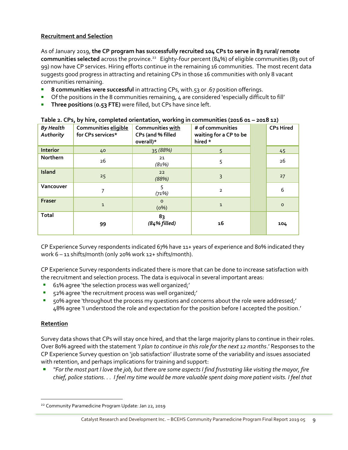#### **Recruitment and Selection**

As of January 2019, **the CP program has successfully recruited 104 CPs to serve in 83 rural/ remote communities selected** across the province. 22 Eighty-four percent (84%) of eligible communities (83 out of 99) now have CP services. Hiring efforts continue in the remaining 16 communities. The most recent data suggests good progress in attracting and retaining CPs in those 16 communities with only 8 vacant communities remaining.

- **8 communities were successful** in attracting CPs, with.53 or .67 position offerings.
- Of the positions in the 8 communities remaining,  $4$  are considered 'especially difficult to fill'
- **Three positions** (**0.53 FTE)** were filled, but CPs have since left.

| <b>By Health</b><br>Authority | Communities eligible<br>for CPs services* | Communities with<br>CPs (and % filled<br>overall)* | # of communities<br>waiting for a CP to be<br>hired * | <b>CPs Hired</b> |
|-------------------------------|-------------------------------------------|----------------------------------------------------|-------------------------------------------------------|------------------|
| <b>Interior</b>               | 40                                        | 35 (88%)                                           | 5                                                     | 45               |
| Northern                      | 26                                        | 21<br>(81%)                                        | 5                                                     | 26               |
| <b>Island</b>                 | 25                                        | 22<br>(88%)                                        | 3                                                     | 27               |
| Vancouver                     | 7                                         | 5<br>(71%)                                         | $\overline{2}$                                        | 6                |
| Fraser                        | $\mathbf{1}$                              | $\circ$<br>(0%)                                    | $\mathbf{1}$                                          | $\mathsf{o}$     |
| <b>Total</b>                  | 99                                        | 83<br>$(84%$ filled)                               | 16                                                    | 104              |

**Table 2. CPs, by hire, completed orientation, working in communities (2016 01 – 2018 12)**

CP Experience Survey respondents indicated 67% have 11+ years of experience and 80% indicated they work 6 – 11 shifts/month (only 20% work 12+ shifts/month).

CP Experience Survey respondents indicated there is more that can be done to increase satisfaction with the recruitment and selection process. The data is equivocal in several important areas:

- 61% agree 'the selection process was well organized;'
- 52% agree 'the recruitment process was well organized;'
- 50% agree 'throughout the process my questions and concerns about the role were addressed;' 48% agree 'I understood the role and expectation for the position before I accepted the position.'

#### **Retention**

 $\overline{a}$ 

Survey data shows that CPs will stay once hired, and that the large majority plans to continue in their roles. Over 80% agreed with the statement *'I plan to continue in this role for the next 12 months*.' Responses to the CP Experience Survey question on 'job satisfaction' illustrate some of the variability and issues associated with retention, and perhaps implications for training and support:

▪ *"For the most part I love the job, but there are some aspects I find frustrating like visiting the mayor, fire chief, police stations. . . I feel my time would be more valuable spent doing more patient visits. I feel that* 

<sup>&</sup>lt;sup>22</sup> Community Paramedicine Program Update: Jan 22, 2019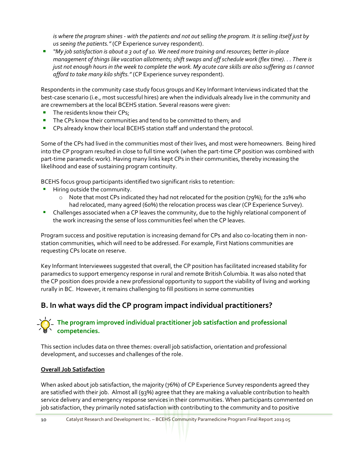*is where the program shines - with the patients and not out selling the program. It is selling itself just by us seeing the patients."* (CP Experience survey respondent).

▪ *"My job satisfaction is about a 3 out of 10. We need more training and resources; better in-place management of things like vacation allotments; shift swaps and off schedule work (flex time). . . There is just not enough hours in the week to complete the work. My acute care skills are also suffering as I cannot afford to take many kilo shifts."*(CP Experience survey respondent).

Respondents in the community case study focus groups and Key Informant Interviews indicated that the best-case scenario (i.e., most successful hires) are when the individuals already live in the community and are crewmembers at the local BCEHS station. Several reasons were given:

- The residents know their CPs;
- The CPs know their communities and tend to be committed to them; and
- CPs already know their local BCEHS station staff and understand the protocol.

Some of the CPs had lived in the communities most of their lives, and most were homeowners. Being hired into the CP program resulted in close to full time work (when the part-time CP position was combined with part-time paramedic work). Having many links kept CPs in their communities, thereby increasing the likelihood and ease of sustaining program continuity.

BCEHS focus group participants identified two significant risks to retention:

- **E** Hiring outside the community.
	- $\circ$  Note that most CPs indicated they had not relocated for the position (79%); for the 21% who had relocated, many agreed (60%) the relocation process was clear (CP Experience Survey).
- **•** Challenges associated when a CP leaves the community, due to the highly relational component of the work increasing the sense of loss communities feel when the CP leaves.

Program success and positive reputation is increasing demand for CPs and also co-locating them in nonstation communities, which will need to be addressed. For example, First Nations communities are requesting CPs locate on reserve.

Key Informant Interviewees suggested that overall, the CP position has facilitated increased stability for paramedics to support emergency response in rural and remote British Columbia. It was also noted that the CP position does provide a new professional opportunity to support the viability of living and working rurally in BC. However, it remains challenging to fill positions in some communities

## **B. In what ways did the CP program impact individual practitioners?**

#### **The program improved individual practitioner job satisfaction and professional competencies.**

This section includes data on three themes: overall job satisfaction, orientation and professional development, and successes and challenges of the role.

#### **Overall Job Satisfaction**

When asked about job satisfaction, the majority (76%) of CP Experience Survey respondents agreed they are satisfied with their job. Almost all (93%) agree that they are making a valuable contribution to health service delivery and emergency response services in their communities. When participants commented on job satisfaction, they primarily noted satisfaction with contributing to the community and to positive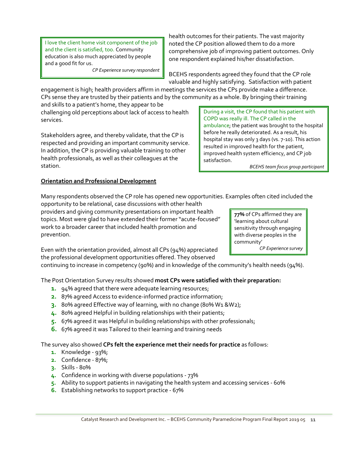I love the client home visit component of the job and the client is satisfied, too. Community education is also much appreciated by people and a good fit for us.

*CP Experience survey respondent*

health outcomes for their patients. The vast majority noted the CP position allowed them to do a more comprehensive job of improving patient outcomes. Only one respondent explained his/her dissatisfaction.

BCEHS respondents agreed they found that the CP role valuable and highly satisfying. Satisfaction with patient

satisfaction.

During a visit, the CP found that his patient with

ambulance; the patient was brought to the hospital before he really deteriorated. As a result, his hospital stay was only 3 days (vs. 7-10). This action resulted in improved health for the patient, improved health system efficiency, and CP job

COPD was really ill. The CP called in the

engagement is high; health providers affirm in meetings the services the CPs provide make a difference. CPs sense they are trusted by their patients and by the community as a whole. By bringing their training

and skills to a patient's home, they appear to be challenging old perceptions about lack of access to health services.

Stakeholders agree, and thereby validate, that the CP is respected and providing an important community service. In addition, the CP is providing valuable training to other health professionals, as well as their colleagues at the station.

#### **Orientation and Professional Development**

Many respondents observed the CP role has opened new opportunities. Examples often cited included the opportunity to be relational, case discussions with other health

providers and giving community presentations on important health topics. Most were glad to have extended their former "acute-focused" work to a broader career that included health promotion and prevention.

Even with the orientation provided, almost all CPs (94%) appreciated the professional development opportunities offered. They observed

continuing to increase in competency (90%) and in knowledge of the community's health needs (94%).

The Post Orientation Survey results showed **most CPs were satisfied with their preparation:**

- **1.** 94% agreed that there were adequate learning resources;
- **2.** 87% agreed Access to evidence-informed practice information;
- **3.** 80% agreed Effective way of learning, with no change (80% W1 &W2);
- **4.** 80% agreed Helpful in building relationships with their patients;
- **5.** 67% agreed it was Helpful in building relationships with other professionals;
- **6.** 67% agreed it was Tailored to their learning and training needs

The survey also showed **CPs felt the experience met their needs for practice** as follows:

- **1.** Knowledge 93%;
- **2.** Confidence 87%;
- **3.** Skills 80%
- **4.** Confidence in working with diverse populations 73%
- **5.** Ability to support patients in navigating the health system and accessing services 60%
- **6.** Establishing networks to support practice 67%

**77%** of CPs affirmed they are 'learning about cultural sensitivity through engaging with diverse peoples in the community'

*CP Experience survey*

*BCEHS team focus group participant*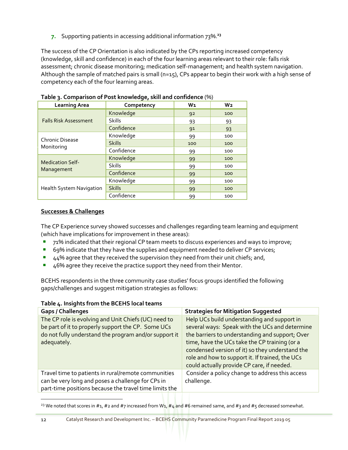**7.** Supporting patients in accessing additional information 73%. **23**

The success of the CP Orientation is also indicated by the CPs reporting increased competency (knowledge, skill and confidence) in each of the four learning areas relevant to their role: falls risk assessment; chronic disease monitoring; medication self-management; and health system navigation. Although the sample of matched pairs is small (n=15), CPs appear to begin their work with a high sense of competency each of the four learning areas.

| <b>Learning Area</b>          | Competency    | $W_1$ | W <sub>2</sub> |
|-------------------------------|---------------|-------|----------------|
|                               | Knowledge     | 92    | 100            |
| <b>Falls Risk Assessment</b>  | <b>Skills</b> | 93    | 93             |
|                               | Confidence    | 91    | 93             |
|                               | Knowledge     | 99    | 100            |
| Chronic Disease<br>Monitoring | <b>Skills</b> | 100   | 100            |
|                               | Confidence    | 99    | 100            |
|                               | Knowledge     | 99    | 100            |
| <b>Medication Self-</b>       | <b>Skills</b> | 99    | 100            |
| Management                    | Confidence    | 99    | 100            |
| Health System Navigation      | Knowledge     | 99    | 100            |
|                               | <b>Skills</b> | 99    | 100            |
|                               | Confidence    | 99    | 100            |

**Table 3. Comparison of Post knowledge, skill and confidence** (%)

#### **Successes & Challenges**

The CP Experience survey showed successes and challenges regarding team learning and equipment (which have implications for improvement in these areas):

- 71% indicated that their regional CP team meets to discuss experiences and ways to improve;
- 69% indicate that they have the supplies and equipment needed to deliver CP services;
- 44% agree that they received the supervision they need from their unit chiefs; and,
- 46% agree they receive the practice support they need from their Mentor.

BCEHS respondents in the three community case studies' focus groups identified the following gaps/challenges and suggest mitigation strategies as follows:

| Table 4. Insights from the BCEHS local teams |  |
|----------------------------------------------|--|
|----------------------------------------------|--|

| <b>Gaps / Challenges</b>                                                                                                                                                           | <b>Strategies for Mitigation Suggested</b>                                                                                                                                                                                                                                                                                                            |
|------------------------------------------------------------------------------------------------------------------------------------------------------------------------------------|-------------------------------------------------------------------------------------------------------------------------------------------------------------------------------------------------------------------------------------------------------------------------------------------------------------------------------------------------------|
| The CP role is evolving and Unit Chiefs (UC) need to<br>be part of it to properly support the CP. Some UCs<br>do not fully understand the program and/or support it<br>adequately. | Help UCs build understanding and support in<br>several ways: Speak with the UCs and determine<br>the barriers to understanding and support; Over<br>time, have the UCs take the CP training (or a<br>condensed version of it) so they understand the<br>role and how to support it. If trained, the UCs<br>could actually provide CP care, if needed. |
| Travel time to patients in rural/remote communities<br>can be very long and poses a challenge for CPs in<br>part-time positions because the travel time limits the                 | Consider a policy change to address this access<br>challenge.                                                                                                                                                                                                                                                                                         |

<sup>&</sup>lt;sup>23</sup> We noted that scores in #1, #2 and #7 increased from W1, #4 and #6 remained same, and #3 and #5 decreased somewhat.

 $\overline{a}$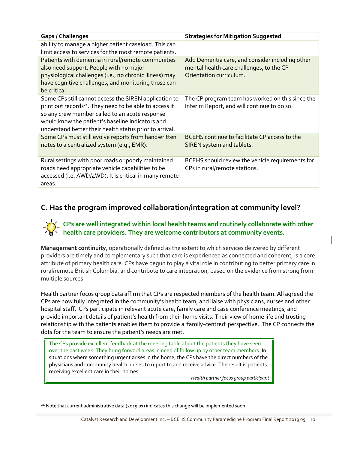| <b>Gaps / Challenges</b>                                                                                                                                                                                                                                                                      | <b>Strategies for Mitigation Suggested</b>                                                                             |
|-----------------------------------------------------------------------------------------------------------------------------------------------------------------------------------------------------------------------------------------------------------------------------------------------|------------------------------------------------------------------------------------------------------------------------|
| ability to manage a higher patient caseload. This can<br>limit access to services for the most remote patients.                                                                                                                                                                               |                                                                                                                        |
| Patients with dementia in rural/remote communities<br>also need support. People with no major<br>physiological challenges (i.e., no chronic illness) may<br>have cognitive challenges, and monitoring those can<br>be critical.                                                               | Add Dementia care, and consider including other<br>mental health care challenges, to the CP<br>Orientation curriculum. |
| Some CPs still cannot access the SIREN application to<br>print out records <sup>24</sup> . They need to be able to access it<br>so any crew member called to an acute response<br>would know the patient's baseline indicators and<br>understand better their health status prior to arrival. | The CP program team has worked on this since the<br>Interim Report, and will continue to do so.                        |
| Some CPs must still evolve reports from handwritten<br>notes to a centralized system (e.g., EMR).                                                                                                                                                                                             | BCEHS continue to facilitate CP access to the<br>SIREN system and tablets.                                             |
| Rural settings with poor roads or poorly maintained<br>roads need appropriate vehicle capabilities to be<br>accessed (i.e. AWD/4WD). It is critical in many remote<br>areas.                                                                                                                  | BCEHS should review the vehicle requirements for<br>CPs in rural/remote stations.                                      |

### **C. Has the program improved collaboration/integration at community level?**

#### **CPs are well integrated within local health teams and routinely collaborate with other health care providers. They are welcome contributors at community events.**

**Management continuity**, operationally defined as the extent to which services delivered by different providers are timely and complementary such that care is experienced as connected and coherent, is a core attribute of primary health care. CPs have begun to play a vital role in contributing to better primary care in rural/remote British Columbia, and contribute to care integration, based on the evidence from strong from multiple sources.

Health partner focus group data affirm that CPs are respected members of the health team. All agreed the CPs are now fully integrated in the community's health team, and liaise with physicians, nurses and other hospital staff. CPs participate in relevant acute care, family care and case conference meetings, and provide important details of patient's health from their home visits. Their view of home life and trusting relationship with the patients enables them to provide a 'family-centred' perspective. The CP connects the dots for the team to ensure the patient's needs are met.

The CPs provide excellent feedback at the meeting table about the patients they have seen over the past week. They bring forward areas in need of follow up by other team members. In situations where something urgent arises in the home, the CPs have the direct numbers of the physicians and community health nurses to report to and receive advice. The result is patients receiving excellent care in their homes.

*Health partner focus group participant*

 $\overline{a}$ 

<sup>&</sup>lt;sup>24</sup> Note that current administrative data (2019 01) indicates this change will be implemented soon.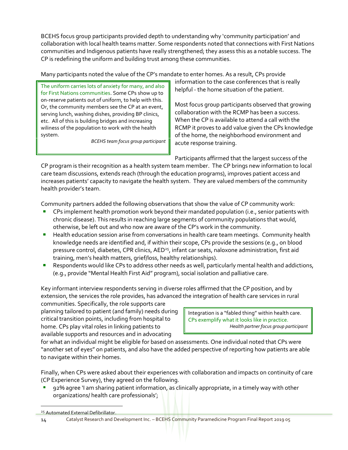BCEHS focus group participants provided depth to understanding why 'community participation' and collaboration with local health teams matter. Some respondents noted that connections with First Nations communities and Indigenous patients have really strengthened; they assess this as a notable success. The CP is redefining the uniform and building trust among these communities.

Many participants noted the value of the CP's mandate to enter homes. As a result, CPs provide

The uniform carries lots of anxiety for many, and also for First Nations communities. Some CPs show up to on-reserve patients out of uniform, to help with this. Or, the community members see the CP at an event, serving lunch, washing dishes, providing BP clinics, etc. All of this is building bridges and increasing wiliness of the population to work with the health system.

*BCEHS team focus group participant*

information to the case conferences that is really helpful - the home situation of the patient.

Most focus group participants observed that growing collaboration with the RCMP has been a success. When the CP is available to attend a call with the RCMP it proves to add value given the CPs knowledge of the home, the neighborhood environment and acute response training.

Participants affirmed that the largest success of the

CP program is their recognition as a health system team member. The CP brings new information to local care team discussions, extends reach (through the education programs), improves patient access and increases patients' capacity to navigate the health system. They are valued members of the community health provider's team.

Community partners added the following observations that show the value of CP community work:

- CPs implement health promotion work beyond their mandated population (i.e., senior patients with chronic disease). This results in reaching large segments of community populations that would, otherwise, be left out and who now are aware of the CP's work in the community.
- **E** Health education session arise from conversations in health care team meetings. Community health knowledge needs are identified and, if within their scope, CPs provide the sessions (e.g., on blood pressure control, diabetes, CPR clinics, AED<sup>25</sup>, infant car seats, naloxone administration, first aid training, men's health matters, grief/loss, healthy relationships).
- Respondents would like CPs to address other needs as well, particularly mental health and addictions, (e.g., provide "Mental Health First Aid" program), social isolation and palliative care.

Key informant interview respondents serving in diverse roles affirmed that the CP position, and by extension, the services the role provides, has advanced the integration of health care services in rural

communities. Specifically, the role supports care planning tailored to patient (and family) needs during critical transition points, including from hospital to home. CPs play vital roles in linking patients to available supports and resources and in advocating

Integration is a "fabled thing" within health care. CPs exemplify what it looks like in practice. *Health partner focus group participant*

for what an individual might be eligible for based on assessments. One individual noted that CPs were "another set of eyes" on patients, and also have the added perspective of reporting how patients are able to navigate within their homes.

Finally, when CPs were asked about their experiences with collaboration and impacts on continuity of care (CP Experience Survey), they agreed on the following.

92% agree 'I am sharing patient information, as clinically appropriate, in a timely way with other organizations/ health care professionals';

<sup>&</sup>lt;sup>25</sup> Automated External Defibrillator.

<sup>14</sup> Catalyst Research and Development Inc. – BCEHS Community Paramedicine Program Final Report 2019 05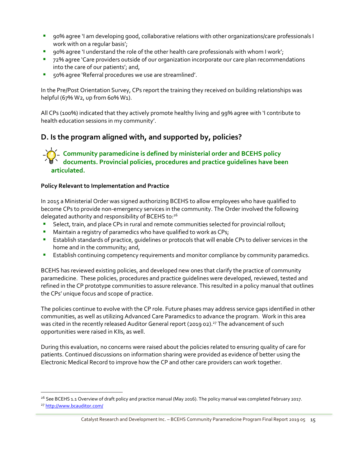- 90% agree 'I am developing good, collaborative relations with other organizations/care professionals I work with on a regular basis';
- 90% agree 'I understand the role of the other health care professionals with whom I work';
- 72% agree 'Care providers outside of our organization incorporate our care plan recommendations into the care of our patients'; and,
- 50% agree 'Referral procedures we use are streamlined'.

In the Pre/Post Orientation Survey, CPs report the training they received on building relationships was helpful (67% W2, up from 60% W1).

All CPs (100%) indicated that they actively promote healthy living and 99% agree with 'I contribute to health education sessions in my community'.

## **D. Is the program aligned with, and supported by, policies?**

#### **Community paramedicine is defined by ministerial order and BCEHS policy documents. Provincial policies, procedures and practice guidelines have been articulated.**

#### **Policy Relevant to Implementation and Practice**

In 2015 a Ministerial Order was signed authorizing BCEHS to allow employees who have qualified to become CPs to provide non-emergency services in the community. The Order involved the following delegated authority and responsibility of BCEHS to:<sup>26</sup>

- Select, train, and place CPs in rural and remote communities selected for provincial rollout;
- Maintain a registry of paramedics who have qualified to work as CPs;
- **E** Establish standards of practice, guidelines or protocols that will enable CPs to deliver services in the home and in the community; and,
- **E** Establish continuing competency requirements and monitor compliance by community paramedics.

BCEHS has reviewed existing policies, and developed new ones that clarify the practice of community paramedicine. These policies, procedures and practice guidelines were developed, reviewed, tested and refined in the CP prototype communities to assure relevance. This resulted in a policy manual that outlines the CPs' unique focus and scope of practice.

The policies continue to evolve with the CP role. Future phases may address service gaps identified in other communities, as well as utilizing Advanced Care Paramedics to advance the program. Work in this area was cited in the recently released Auditor General report (2019 02).<sup>27</sup> The advancement of such opportunities were raised in KIIs, as well.

During this evaluation, no concerns were raised about the policies related to ensuring quality of care for patients. Continued discussions on information sharing were provided as evidence of better using the Electronic Medical Record to improve how the CP and other care providers can work together.

<sup>&</sup>lt;sup>26</sup> See BCEHS 1.1 Overview of draft policy and practice manual (May 2016). The policy manual was completed February 2017. <sup>27</sup> <http://www.bcauditor.com/>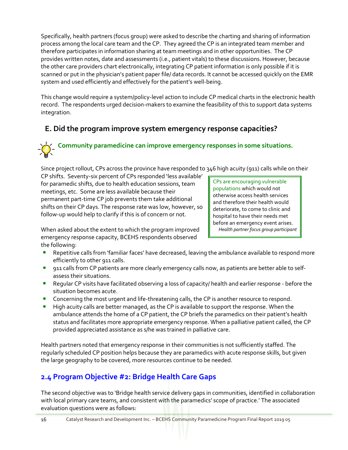Specifically, health partners (focus group) were asked to describe the charting and sharing of information process among the local care team and the CP. They agreed the CP is an integrated team member and therefore participates in information sharing at team meetings and in other opportunities. The CP provides written notes, date and assessments (i.e., patient vitals) to these discussions. However, because the other care providers chart electronically, integrating CP patient information is only possible if it is scanned or put in the physician's patient paper file/ data records. It cannot be accessed quickly on the EMR system and used efficiently and effectively for the patient's well-being.

This change would require a system/policy-level action to include CP medical charts in the electronic health record. The respondents urged decision-makers to examine the feasibility of this to support data systems integration.

# **E. Did the program improve system emergency response capacities?**

# **Community paramedicine can improve emergency responses in some situations.**

Since project rollout, CPs across the province have responded to 346 high acuity (911) calls while on their

CP shifts. Seventy-six percent of CPs responded 'less available' for paramedic shifts, due to health education sessions, team meetings, etc. Some are less available because their permanent part-time CP job prevents them take additional shifts on their CP days. The response rate was low, however, so follow-up would help to clarify if this is of concern or not.

CPs are encouraging vulnerable populations which would not otherwise access health services and therefore their health would deteriorate, to come to clinic and hospital to have their needs met before an emergency event arises. *Health partner focus group participant*

When asked about the extent to which the program improved emergency response capacity, BCEHS respondents observed the following:

- Repetitive calls from 'familiar faces' have decreased, leaving the ambulance available to respond more efficiently to other 911 calls.
- **•** 911 calls from CP patients are more clearly emergency calls now, as patients are better able to selfassess their situations.
- **E** Regular CP visits have facilitated observing a loss of capacity/ health and earlier response before the situation becomes acute.
- **•** Concerning the most urgent and life-threatening calls, the CP is another resource to respond.
- **E** High acuity calls are better managed, as the CP is available to support the response. When the ambulance attends the home of a CP patient, the CP briefs the paramedics on their patient's health status and facilitates more appropriate emergency response. When a palliative patient called, the CP provided appreciated assistance as s/he was trained in palliative care.

Health partners noted that emergency response in their communities is not sufficiently staffed. The regularly scheduled CP position helps because they are paramedics with acute response skills, but given the large geography to be covered, more resources continue to be needed.

# **2.4 Program Objective #2: Bridge Health Care Gaps**

The second objective was to 'Bridge health service delivery gaps in communities, identified in collaboration with local primary care teams, and consistent with the paramedics' scope of practice.' The associated evaluation questions were as follows: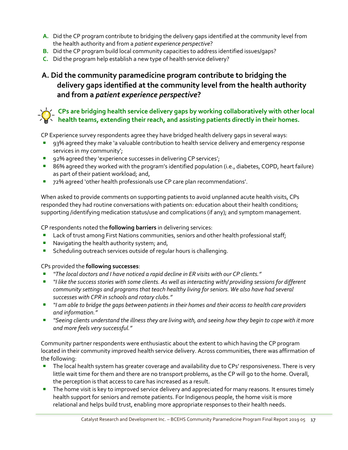- **A.** Did the CP program contribute to bridging the delivery gaps identified at the community level from the health authority and from a *patient experience perspective*?
- **B.** Did the CP program build local community capacities to address identified issues/gaps?
- **C.** Did the program help establish a new type of health service delivery?

# **A. Did the community paramedicine program contribute to bridging the delivery gaps identified at the community level from the health authority and from a** *patient experience perspective***?**

#### **CPs are bridging health service delivery gaps by working collaboratively with other local health teams, extending their reach, and assisting patients directly in their homes.**

CP Experience survey respondents agree they have bridged health delivery gaps in several ways:

- 93% agreed they make 'a valuable contribution to health service delivery and emergency response services in my community';
- 92% agreed they 'experience successes in delivering CP services';
- 86% agreed they worked with the program's identified population (i.e., diabetes, COPD, heart failure) as part of their patient workload; and,
- 72% agreed 'other health professionals use CP care plan recommendations'.

When asked to provide comments on supporting patients to avoid unplanned acute health visits, CPs responded they had routine conversations with patients on: education about their health conditions; supporting /identifying medication status/use and complications (if any); and symptom management.

CP respondents noted the **following barriers** in delivering services:

- **E** Lack of trust among First Nations communities, seniors and other health professional staff;
- Navigating the health authority system; and,
- Scheduling outreach services outside of regular hours is challenging.

CPs provided the **following successes**:

- *"The local doctors and I have noticed a rapid decline in ER visits with our CP clients."*
- *ii* like the success stories with some clients. As well as interacting with/ providing sessions for different *community settings and programs that teach healthy living for seniors. We also have had several successes with CPR in schools and rotary clubs."*
- *"I am able to bridge the gaps between patients in their homes and their access to health care providers and information."*
- **"Seeing clients understand the illness they are living with, and seeing how they begin to cope with it more** *and more feels very successful."*

Community partner respondents were enthusiastic about the extent to which having the CP program located in their community improved health service delivery. Across communities, there was affirmation of the following:

- **•** The local health system has greater coverage and availability due to CPs' responsiveness. There is very little wait time for them and there are no transport problems, as the CP will go to the home. Overall, the perception is that access to care has increased as a result.
- **•** The home visit is key to improved service delivery and appreciated for many reasons. It ensures timely health support for seniors and remote patients. For Indigenous people, the home visit is more relational and helps build trust, enabling more appropriate responses to their health needs.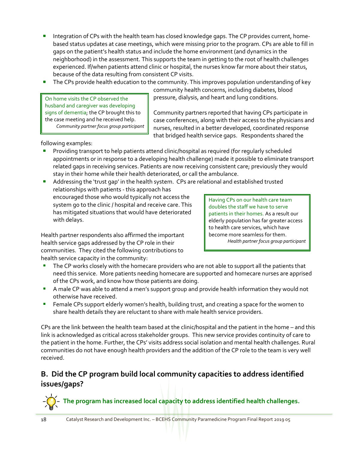- Integration of CPs with the health team has closed knowledge gaps. The CP provides current, homebased status updates at case meetings, which were missing prior to the program. CPs are able to fill in gaps on the patient's health status and include the home environment (and dynamics in the neighborhood) in the assessment. This supports the team in getting to the root of health challenges experienced. If/when patients attend clinic or hospital, the nurses know far more about their status, because of the data resulting from consistent CP visits.
- The CPs provide health education to the community. This improves population understanding of key

On home visits the CP observed the husband and caregiver was developing signs of dementia; the CP brought this to the case meeting and he received help. *Community partner focus group participant* community health concerns, including diabetes, blood pressure, dialysis, and heart and lung conditions.

Community partners reported that having CPs participate in case conferences, along with their access to the physicians and nurses, resulted in a better developed, coordinated response that bridged health service gaps. Respondents shared the

following examples:

▪ Providing transport to help patients attend clinic/hospital as required (for regularly scheduled appointments or in response to a developing health challenge) made it possible to eliminate transport related gaps in receiving services. Patients are now receiving consistent care; previously they would stay in their home while their health deteriorated, or call the ambulance.

Addressing the 'trust gap' in the health system. CPs are relational and established trusted relationships with patients - this approach has encouraged those who would typically not access the system go to the clinic / hospital and receive care. This has mitigated situations that would have deteriorated with delays.

Having CPs on our health care team doubles the staff we have to serve patients in their homes. As a result our elderly population has far greater access to health care services, which have become more seamless for them. *Health partner focus group participant*

Health partner respondents also affirmed the important health service gaps addressed by the CP role in their communities. They cited the following contributions to health service capacity in the community:

- The CP works closely with the homecare providers who are not able to support all the patients that need this service. More patients needing homecare are supported and homecare nurses are apprised of the CPs work, and know how those patients are doing.
- A male CP was able to attend a men's support group and provide health information they would not otherwise have received.
- **EXECT FEMALE CPS support elderly women's health, building trust, and creating a space for the women to** share health details they are reluctant to share with male health service providers.

CPs are the link between the health team based at the clinic/hospital and the patient in the home – and this link is acknowledged as critical across stakeholder groups. This new service provides continuity of care to the patient in the home. Further, the CPs' visits address social isolation and mental health challenges. Rural communities do not have enough health providers and the addition of the CP role to the team is very well received.

## **B. Did the CP program build local community capacities to address identified issues/gaps?**



**The program has increased local capacity to address identified health challenges.**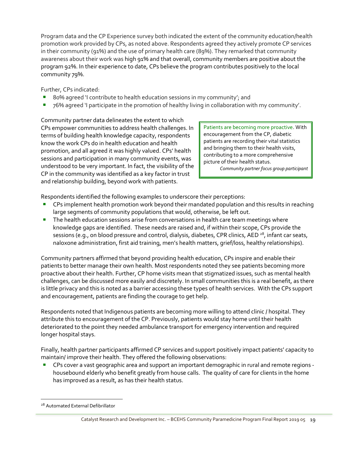Program data and the CP Experience survey both indicated the extent of the community education/health promotion work provided by CPs, as noted above. Respondents agreed they actively promote CP services in their community (91%) and the use of primary health care (89%). They remarked that community awareness about their work was high 91% and that overall, community members are positive about the program 92%. In their experience to date, CPs believe the program contributes positively to the local community 79%.

Further, CPs indicated:

- 80% agreed 'I contribute to health education sessions in my community'; and
- 76% agreed 'I participate in the promotion of healthy living in collaboration with my community'.

Community partner data delineates the extent to which CPs empower communities to address health challenges. In terms of building health knowledge capacity, respondents know the work CPs do in health education and health promotion, and all agreed it was highly valued. CPs' health sessions and participation in many community events, was understood to be very important. In fact, the visibility of the CP in the community was identified as a key factor in trust and relationship building, beyond work with patients.

Patients are becoming more proactive. With encouragement from the CP, diabetic patients are recording their vital statistics and bringing them to their health visits, contributing to a more comprehensive picture of their health status.

*Community partner focus group participant*

Respondents identified the following examples to underscore their perceptions:

- CPs implement health promotion work beyond their mandated population and this results in reaching large segments of community populations that would, otherwise, be left out.
- **•** The health education sessions arise from conversations in health care team meetings where knowledge gaps are identified. These needs are raised and, if within their scope, CPs provide the sessions (e.g., on blood pressure and control, dialysis, diabetes, CPR clinics, AED  $^{28}$ , infant car seats, naloxone administration, first aid training, men's health matters, grief/loss, healthy relationships).

Community partners affirmed that beyond providing health education, CPs inspire and enable their patients to better manage their own health. Most respondents noted they see patients becoming more proactive about their health. Further, CP home visits mean that stigmatized issues, such as mental health challenges, can be discussed more easily and discretely. In small communities this is a real benefit, as there is little privacy and this is noted as a barrier accessing these types of health services. With the CPs support and encouragement, patients are finding the courage to get help.

Respondents noted that Indigenous patients are becoming more willing to attend clinic / hospital. They attribute this to encouragement of the CP. Previously, patients would stay home until their health deteriorated to the point they needed ambulance transport for emergency intervention and required longer hospital stays.

Finally, health partner participants affirmed CP services and support positively impact patients' capacity to maintain/ improve their health. They offered the following observations:

▪ CPs cover a vast geographic area and support an important demographic in rural and remote regions housebound elderly who benefit greatly from house calls. The quality of care for clients in the home has improved as a result, as has their health status.

 $\overline{a}$ 

<sup>&</sup>lt;sup>28</sup> Automated External Defibrillator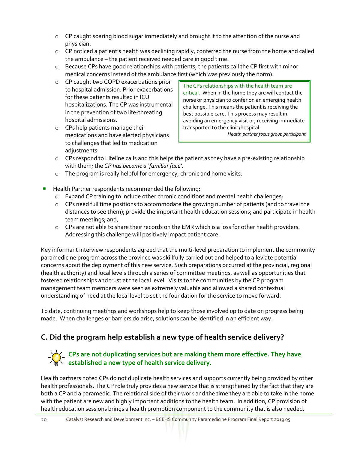- o CP caught soaring blood sugar immediately and brought it to the attention of the nurse and physician.
- o CP noticed a patient's health was declining rapidly, conferred the nurse from the home and called the ambulance – the patient received needed care in good time.
- $\circ$  Because CPs have good relationships with patients, the patients call the CP first with minor medical concerns instead of the ambulance first (which was previously the norm).
- o CP caught two COPD exacerbations prior to hospital admission. Prior exacerbations for these patients resulted in ICU hospitalizations. The CP was instrumental in the prevention of two life-threating hospital admissions.
- o CPs help patients manage their medications and have alerted physicians to challenges that led to medication adjustments.

The CPs relationships with the health team are critical. When in the home they are will contact the nurse or physician to confer on an emerging health challenge. This means the patient is receiving the best possible care. This process may result in avoiding an emergency visit or, receiving immediate transported to the clinic/hospital.

*Health partner focus group participant*

- $\circ$  CPs respond to Lifeline calls and this helps the patient as they have a pre-existing relationship with them; the *CP has become a 'familiar face'*.
- o The program is really helpful for emergency, chronic and home visits.
- Health Partner respondents recommended the following:
	- o Expand CP training to include other chronic conditions and mental health challenges;
	- o CPs need full time positions to accommodate the growing number of patients (and to travel the distances to see them); provide the important health education sessions; and participate in health team meetings; and,
	- o CPs are not able to share their records on the EMR which is a loss for other health providers. Addressing this challenge will positively impact patient care.

Key informant interview respondents agreed that the multi-level preparation to implement the community paramedicine program across the province was skillfully carried out and helped to alleviate potential concerns about the deployment of this new service. Such preparations occurred at the provincial, regional (health authority) and local levels through a series of committee meetings, as well as opportunities that fostered relationships and trust at the local level. Visits to the communities by the CP program management team members were seen as extremely valuable and allowed a shared contextual understanding of need at the local level to set the foundation for the service to move forward.

To date, continuing meetings and workshops help to keep those involved up to date on progress being made. When challenges or barriers do arise, solutions can be identified in an efficient way.

# **C. Did the program help establish a new type of health service delivery?**

#### **CPs are not duplicating services but are making them more effective. They have established a new type of health service delivery.**

Health partners noted CPs do not duplicate health services and supports currently being provided by other health professionals. The CP role truly provides a new service that is strengthened by the fact that they are both a CP and a paramedic. The relational side of their work and the time they are able to take in the home with the patient are new and highly important additions to the health team. In addition, CP provision of health education sessions brings a health promotion component to the community that is also needed.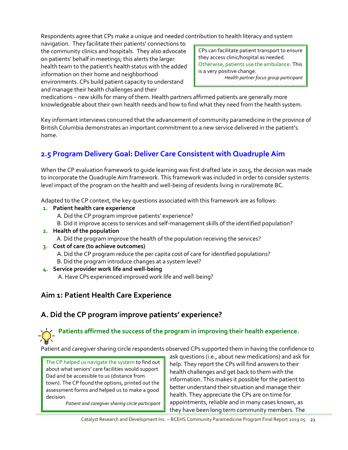Respondents agree that CPs make a unique and needed contribution to health literacy and system

navigation. They facilitate their patients' connections to the community clinics and hospitals. They also advocate on patients' behalf in meetings; this alerts the larger health team to the patient's health status with the added information on their home and neighborhood environments. CPs build patient capacity to understand and manage their health challenges and their

CPs can facilitate patient transport to ensure they access clinic/hospital as needed. Otherwise, patients use the ambulance. This is a very positive change. *Health partner focus group participant*

medications – new skills for many of them. Health partners affirmed patients are generally more knowledgeable about their own health needs and how to find what they need from the health system.

Key informant interviews concurred that the advancement of community paramedicine in the province of British Columbia demonstrates an important commitment to a new service delivered in the patient's home.

# **2.5 Program Delivery Goal: Deliver Care Consistent with Quadruple Aim**

When the CP evaluation framework to guide learning was first drafted late in 2015, the decision was made to incorporate the Quadruple Aim framework. This framework was included in order to consider systems level impact of the program on the health and well-being of residents living in rural/remote BC.

Adapted to the CP context, the key questions associated with this framework are as follows:

- **1. Patient health care experience**
	- A. Did the CP program improve patients' experience?
	- B. Did it improve access to services and self-management skills of the identified population?
- **2. Health of the population** A. Did the program improve the health of the population receiving the services?
- **3. Cost of care (to achieve outcomes)**
	- A. Did the CP program reduce the per capita cost of care for identified populations? B. Did the program introduce changes at a system level?
- **4. Service provider work life and well-being** A. Have CPs experienced improved work life and well-being?

# **Aim 1: Patient Health Care Experience**

# **A. Did the CP program improve patients' experience?**

# **Patients affirmed the success of the program in improving their health experience.**

Patient and caregiver sharing circle respondents observed CPs supported them in having the confidence to

The CP helped us navigate the system to find out about what seniors' care facilities would support Dad and be accessible to us (distance from town). The CP found the options, printed out the assessment forms and helped us to make a good decision.

*Patient and caregiver sharing circle participant*

ask questions (i.e., about new medications) and ask for help. They report the CPs will find answers to their health challenges and get back to them with the information. This makes it possible for the patient to better understand their situation and manage their health. They appreciate the CPs are on time for appointments, reliable and in many cases known, as they have been long term community members. The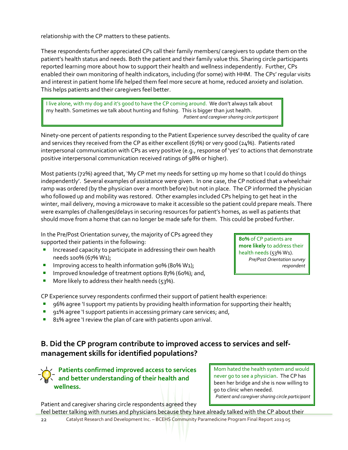relationship with the CP matters to these patients.

These respondents further appreciated CPs call their family members/ caregivers to update them on the patient's health status and needs. Both the patient and their family value this. Sharing circle participants reported learning more about how to support their health and wellness independently. Further, CPs enabled their own monitoring of health indicators, including (for some) with HHM. The CPs' regular visits and interest in patient home life helped them feel more secure at home, reduced anxiety and isolation. This helps patients and their caregivers feel better.

I live alone, with my dog and it's good to have the CP coming around. We don't always talk about my health. Sometimes we talk about hunting and fishing. This is bigger than just health. *Patient and caregiver sharing circle participant*

Ninety-one percent of patients responding to the Patient Experience survey described the quality of care and services they received from the CP as either excellent (67%) or very good (24%). Patients rated interpersonal communication with CPs as very positive (e.g., response of 'yes' to actions that demonstrate positive interpersonal communication received ratings of 98% or higher).

Most patients (72%) agreed that, 'My CP met my needs for setting up my home so that I could do things independently'. Several examples of assistance were given. In one case, the CP noticed that a wheelchair ramp was ordered (by the physician over a month before) but not in place. The CP informed the physician who followed up and mobility was restored. Other examples included CPs helping to get heat in the winter, mail delivery, moving a microwave to make it accessible so the patient could prepare meals. There were examples of challenges/delays in securing resources for patient's homes, as well as patients that should move from a home that can no longer be made safe for them. This could be probed further.

In the Pre/Post Orientation survey, the majority of CPs agreed they supported their patients in the following:

- **E** Increased capacity to participate in addressing their own health needs 100% (67% W1);
- Improving access to health information 90% (80% W1);
- Improved knowledge of treatment options 87% (60%); and,
- More likely to address their health needs ( $53\%$ ).

CP Experience survey respondents confirmed their support of patient health experience:

- 96% agree 'I support my patients by providing health information for supporting their health;
- 91% agree 'I support patients in accessing primary care services; and,
- 81% agree 'I review the plan of care with patients upon arrival.

## **B. Did the CP program contribute to improved access to services and selfmanagement skills for identified populations?**

**Patients confirmed improved access to services and better understanding of their health and wellness.**

Mom hated the health system and would never go to see a physician. The CP has been her bridge and she is now willing to go to clinic when needed. *Patient and caregiver sharing circle participant*

Patient and caregiver sharing circle respondents agreed they

22 Catalyst Research and Development Inc. – BCEHS Community Paramedicine Program Final Report 2019 05 feel better talking with nurses and physicians because they have already talked with the CP about their

**80%** of CP patients are **more likely** to address their health needs (53% W1). *Pre/Post Orientation survey respondent*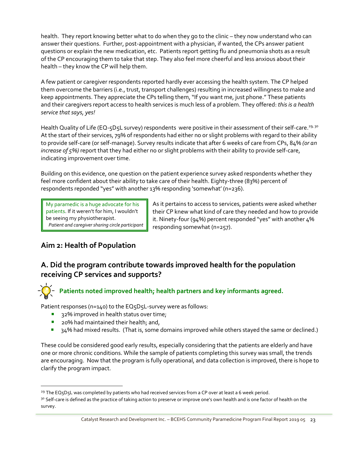health. They report knowing better what to do when they go to the clinic – they now understand who can answer their questions. Further, post-appointment with a physician, if wanted, the CPs answer patient questions or explain the new medication, etc. Patients report getting flu and pneumonia shots as a result of the CP encouraging them to take that step. They also feel more cheerful and less anxious about their health – they know the CP will help them.

A few patient or caregiver respondents reported hardly ever accessing the health system. The CP helped them overcome the barriers (i.e., trust, transport challenges) resulting in increased willingness to make and keep appointments. They appreciate the CPs telling them, "If you want me, just phone." These patients and their caregivers report access to health services is much less of a problem. They offered: *this is a health service that says, yes!*

Health Quality of Life (EQ-5D5L survey) respondents were positive in their assessment of their self-care.<sup>29, 30</sup> At the start of their services, 79% of respondents had either no or slight problems with regard to their ability to provide self-care (or self-manage). Survey results indicate that after 6 weeks of care from CPs, 84% *(or an increase of 5%)* report that they had either no or slight problems with their ability to provide self-care, indicating improvement over time.

Building on this evidence, one question on the patient experience survey asked respondents whether they feel more confident about their ability to take care of their health. Eighty-three (83%) percent of respondents reponded "yes" with another 13% responding 'somewhat' (n=236).

My paramedic is a huge advocate for his patients. If it weren't for him, I wouldn't be seeing my physiotherapist. *Patient and caregiver sharing circle participant* As it pertains to access to services, patients were asked whether their CP knew what kind of care they needed and how to provide it. Ninety-four (94%) percent responded "yes" with another 4% responding somewhat (n=257).

## **Aim 2: Health of Population**

 $\overline{a}$ 

## **A. Did the program contribute towards improved health for the population receiving CP services and supports?**

# **Patients noted improved health; health partners and key informants agreed.**

Patient responses (n=140) to the EQ5D5L-survey were as follows:

- 32% improved in health status over time;
- 20% had maintained their health; and,
- 34% had mixed results. (That is, some domains improved while others stayed the same or declined.)

These could be considered good early results, especially considering that the patients are elderly and have one or more chronic conditions. While the sample of patients completing this survey was small, the trends are encouraging. Now that the program is fully operational, and data collection is improved, there is hope to clarify the program impact.

<sup>&</sup>lt;sup>29</sup> The EQ<sub>5</sub>D<sub>5</sub>L was completed by patients who had received services from a CP over at least a 6 week period.

<sup>&</sup>lt;sup>30</sup> Self-care is defined as the practice of taking action to preserve or improve one's own health and is one factor of health on the survey.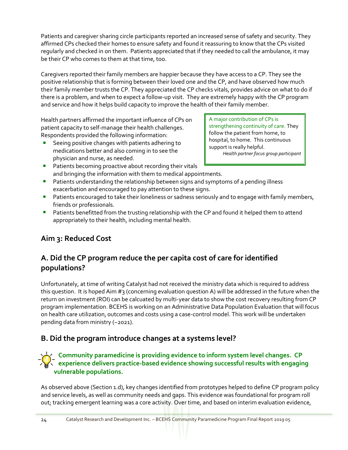Patients and caregiver sharing circle participants reported an increased sense of safety and security. They affirmed CPs checked their homes to ensure safety and found it reassuring to know that the CPs visited regularly and checked in on them. Patients appreciated that if they needed to call the ambulance, it may be their CP who comes to them at that time, too.

Caregivers reported their family members are happier because they have access to a CP. They see the positive relationship that is forming between their loved one and the CP, and have observed how much their family member trusts the CP. They appreciated the CP checks vitals, provides advice on what to do if there is a problem, and when to expect a follow-up visit. They are extremely happy with the CP program and service and how it helps build capacity to improve the health of their family member.

Health partners affirmed the important influence of CPs on patient capacity to self-manage their health challenges. Respondents provided the following information:

Seeing positive changes with patients adhering to medications better and also coming in to see the physician and nurse, as needed.

A major contribution of CPs is strengthening continuity of care. They follow the patient from home, to hospital, to home. This continuous support is really helpful. *Health partner focus group participant*

- Patients becoming proactive about recording their vitals and bringing the information with them to medical appointments.
- **•** Patients understanding the relationship between signs and symptoms of a pending illness exacerbation and encouraged to pay attention to these signs.
- Patients encouraged to take their loneliness or sadness seriously and to engage with family members, friends or professionals.
- Patients benefitted from the trusting relationship with the CP and found it helped them to attend appropriately to their health, including mental health.

# **Aim 3: Reduced Cost**

# **A. Did the CP program reduce the per capita cost of care for identified populations?**

Unfortunately, at time of writing Catalyst had not received the ministry data which is required to address this question. It is hoped Aim #3 (concerning evaluation question A) will be addressed in the future when the return on investment (ROI) can be calcuated by multi-year data to show the cost recovery resulting from CP program implementation. BCEHS is working on an Administrative Data Population Evaluation that will focus on health care utilization, outcomes and costs using a case-control model. This work will be undertaken pending data from ministry (~2021).

## **B. Did the program introduce changes at a systems level?**

#### **Community paramedicine is providing evidence to inform system level changes. CP experience delivers practice-based evidence showing successful results with engaging vulnerable populations.**

As observed above (Section 1.d), key changes identified from prototypes helped to define CP program policy and service levels, as well as community needs and gaps. This evidence was foundational for program roll out; tracking emergent learning was a core activity. Over time, and based on interim evaluation evidence,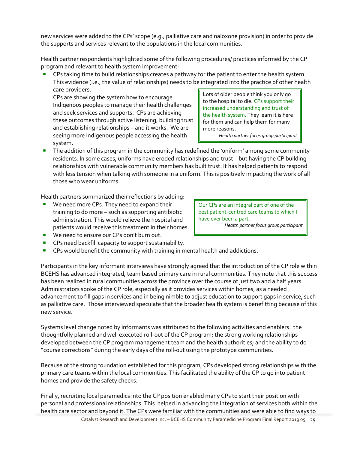new services were added to the CPs' scope (e.g., palliative care and naloxone provision) in order to provide the supports and services relevant to the populations in the local communities.

Health partner respondents highlighted some of the following procedures/ practices informed by the CP program and relevant to health system improvement:

CPs taking time to build relationships creates a pathway for the patient to enter the health system. This evidence (i.e., the value of relationships) needs to be integrated into the practice of other health care providers.

CPs are showing the system how to encourage Indigenous peoples to manage their health challenges and seek services and supports. CPs are achieving these outcomes through active listening, building trust and establishing relationships – and it works. We are seeing more Indigenous people accessing the health system.

Lots of older people think you only go to the hospital to die. CPs support their increased understanding and trust of the health system. They learn it is here for them and can help them for many more reasons.

*Health partner focus group participant*

The addition of this program in the community has redefined the 'uniform' among some community residents. In some cases, uniforms have eroded relationships and trust – but having the CP building relationships with vulnerable community members has built trust. It has helped patients to respond with less tension when talking with someone in a uniform. This is positively impacting the work of all those who wear uniforms.

Health partners summarized their reflections by adding:

We need more CPs. They need to expand their training to do more – such as supporting antibiotic administration. This would relieve the hospital and patients would receive this treatment in their homes.

Our CPs are an integral part of one of the best patient-centred care teams to which I have ever been a part. *Health partner focus group participant*

- We need to ensure our CPs don't burn out.
- CPs need backfill capacity to support sustainability.
- CPs would benefit the community with training in mental health and addictions.

Participants in the key informant interviews have strongly agreed that the introduction of the CP role within BCEHS has advanced integrated, team based primary care in rural communities. They note that this success has been realized in rural communities across the province over the course of just two and a half years. Administrators spoke of the CP role, especially as it provides services within homes, as a needed advancement to fill gaps in services and in being nimble to adjust education to support gaps in service, such as palliative care. Those interviewed speculate that the broader health system is benefitting because of this new service.

Systems level change noted by informants was attributed to the following activities and enablers: the thoughtfully planned and well executed roll-out of the CP program; the strong working relationships developed between the CP program management team and the health authorities; and the ability to do "course corrections" during the early days of the roll-0ut using the prototype communities.

Because of the strong foundation established for this program, CPs developed strong relationships with the primary care teams within the local communities. This facilitated the ability of the CP to go into patient homes and provide the safety checks.

Finally, recruiting local paramedics into the CP position enabled many CPs to start their position with personal and professional relationships. This helped in advancing the integration of services both within the health care sector and beyond it. The CPs were familiar with the communities and were able to find ways to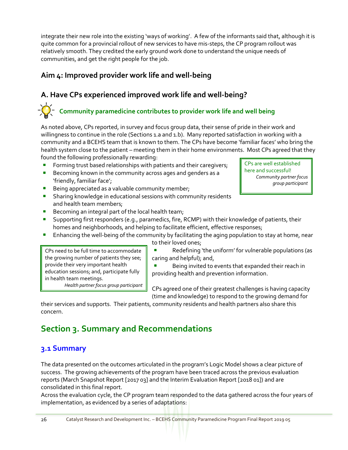integrate their new role into the existing 'ways of working'. A few of the informants said that, although it is quite common for a provincial rollout of new services to have mis-steps, the CP program rollout was relatively smooth. They credited the early ground work done to understand the unique needs of communities, and get the right people for the job.

## **Aim 4: Improved provider work life and well-being**

# **A. Have CPs experienced improved work life and well-being?**

# **Community paramedicine contributes to provider work life and well being**

As noted above, CPs reported, in survey and focus group data, their sense of pride in their work and willingness to continue in the role (Sections 1.a and 1.b). Many reported satisfaction in working with a community and a BCEHS team that is known to them. The CPs have become 'familiar faces' who bring the health system close to the patient – meeting them in their home environments. Most CPs agreed that they found the following professionally rewarding:

- Forming trust based relationships with patients and their caregivers;
- Becoming known in the community across ages and genders as a 'friendly, familiar face';
- **E** Being appreciated as a valuable community member;
- **E** Sharing knowledge in educational sessions with community residents and health team members;
- Becoming an integral part of the local health team;
- **E** Supporting first responders (e.g., paramedics, fire, RCMP) with their knowledge of patients, their homes and neighborhoods, and helping to facilitate efficient, effective responses;
- Enhancing the well-being of the community by facilitating the aging population to stay at home, near to their loved ones;

caring and helpful); and,

CPs need to be full time to accommodate the growing number of patients they see; provide their very important health education sessions; and, participate fully in health team meetings.

*Health partner focus group participant*

CPs are well established here and successful! *Community partner focus group participant*

CPs agreed one of their greatest challenges is having capacity (time and knowledge) to respond to the growing demand for

providing health and prevention information.

Redefining 'the uniform' for vulnerable populations (as

Being invited to events that expanded their reach in

their services and supports. Their patients, community residents and health partners also share this concern.

# **Section 3. Summary and Recommendations**

## **3.1 Summary**

The data presented on the outcomes articulated in the program's Logic Model shows a clear picture of success. The growing achievements of the program have been traced across the previous evaluation reports (March Snapshot Report [2017 03] and the Interim Evaluation Report [2018 01]) and are consolidated in this final report.

Across the evaluation cycle, the CP program team responded to the data gathered across the four years of implementation, as evidenced by a series of adaptations: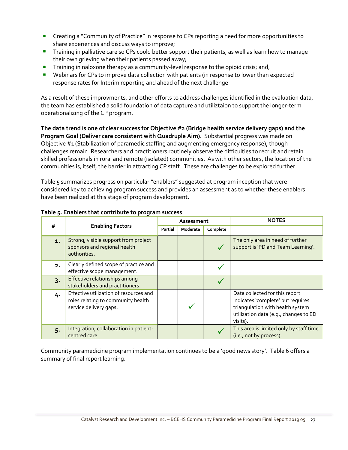- **•** Creating a "Community of Practice" in response to CPs reporting a need for more opportunities to share experiences and discuss ways to improve;
- **Training in palliative care so CPs could better support their patients, as well as learn how to manage** their own grieving when their patients passed away;
- **Training in naloxone therapy as a community-level response to the opioid crisis; and,**
- **■** Webinars for CPs to improve data collection with patients (in response to lower than expected response rates for Interim reporting and ahead of the next challenge

As a result of these improvments, and other efforts to address challenges identified in the evaluation data, the team has established a solid foundation of data capture and utiliztaion to support the longer-term operationalizing of the CP program.

**The data trend is one of clear success for Objective #2 (Bridge health service delivery gaps) and the Program Goal (Deliver care consistent with Quadruple Aim).** Substantial progress was made on Objective #1 (Stabilization of paramedic staffing and augmenting emergency response), though challenges remain. Researchers and practitioners routinely observe the difficulties to recruit and retain skilled professionals in rural and remote (isolated) communities. As with other sectors, the location of the communities is, itself, the barrier in attracting CP staff. These are challenges to be explored further.

Table 5 summarizes progress on particular "enablers" suggested at program inception that were considered key to achieving program success and provides an assessment as to whether these enablers have been realized at this stage of program development.

| #     |                                                                                                        |         | Assessment |          | <b>NOTES</b>                                                                                                                                                 |
|-------|--------------------------------------------------------------------------------------------------------|---------|------------|----------|--------------------------------------------------------------------------------------------------------------------------------------------------------------|
|       | <b>Enabling Factors</b>                                                                                | Partial | Moderate   | Complete |                                                                                                                                                              |
| 1.    | Strong, visible support from project<br>sponsors and regional health<br>authorities.                   |         |            |          | The only area in need of further<br>support is 'PD and Team Learning'.                                                                                       |
| 2.    | Clearly defined scope of practice and<br>effective scope management.                                   |         |            |          |                                                                                                                                                              |
| $3 -$ | Effective relationships among<br>stakeholders and practitioners.                                       |         |            |          |                                                                                                                                                              |
| 4.    | Effective utilization of resources and<br>roles relating to community health<br>service delivery gaps. |         |            |          | Data collected for this report<br>indicates 'complete' but requires<br>triangulation with health system<br>utilization data (e.g., changes to ED<br>visits). |
| $5 -$ | Integration, collaboration in patient-<br>centred care                                                 |         |            |          | This area is limited only by staff time<br>(i.e., not by process).                                                                                           |

#### **Table 5. Enablers that contribute to program success**

Community paramedicine program implementation continues to be a 'good news story'. Table 6 offers a summary of final report learning.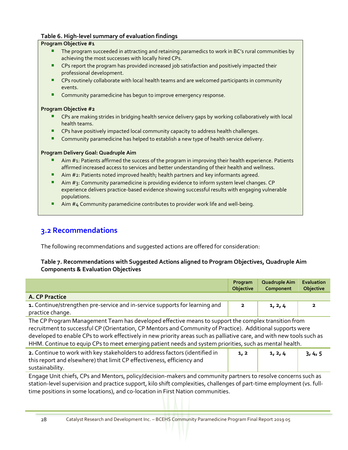#### **Table 6. High-level summary of evaluation findings**

#### **Program Objective #1**

- The program succeeded in attracting and retaining paramedics to work in BC's rural communities by achieving the most successes with locally hired CPs.
- **CPs report the program has provided increased job satisfaction and positively impacted their** professional development.
- CPs routinely collaborate with local health teams and are welcomed participants in community events.
- Community paramedicine has begun to improve emergency response.

#### **Program Objective #2**

- CPs are making strides in bridging health service delivery gaps by working collaboratively with local health teams.
- CPs have positively impacted local community capacity to address health challenges.
- **E** Community paramedicine has helped to establish a new type of health service delivery.

#### **Program Delivery Goal: Quadruple Aim**

- Aim #1: Patients affirmed the success of the program in improving their health experience. Patients affirmed increased access to services and better understanding of their health and wellness.
- Aim #2: Patients noted improved health; health partners and key informants agreed.
- Aim  $#_3$ : Community paramedicine is providing evidence to inform system level changes. CP experience delivers practice-based evidence showing successful results with engaging vulnerable populations.
- Aim #4 Community paramedicine contributes to provider work life and well-being.

# **3.2 Recommendations**

The following recommendations and suggested actions are offered for consideration:

#### **Table 7. Recommendations with Suggested Actions aligned to Program Objectives, Quadruple Aim Components & Evaluation Objectives**

|                                                                                                                                                                                                                                                                                                                                                                                                                                                       | Program<br>Objective | Quadruple Aim<br>Component | <b>Evaluation</b><br><b>Objective</b> |  |
|-------------------------------------------------------------------------------------------------------------------------------------------------------------------------------------------------------------------------------------------------------------------------------------------------------------------------------------------------------------------------------------------------------------------------------------------------------|----------------------|----------------------------|---------------------------------------|--|
| A. CP Practice                                                                                                                                                                                                                                                                                                                                                                                                                                        |                      |                            |                                       |  |
| 1. Continue/strengthen pre-service and in-service supports for learning and<br>practice change.                                                                                                                                                                                                                                                                                                                                                       | $\overline{2}$       | 1, 2, 4                    | $\overline{\mathbf{2}}$               |  |
| The CP Program Management Team has developed effective means to support the complex transition from<br>recruitment to successful CP (Orientation, CP Mentors and Community of Practice). Additional supports were<br>developed to enable CPs to work effectively in new priority areas such as palliative care, and with new tools such as<br>HHM. Continue to equip CPs to meet emerging patient needs and system priorities, such as mental health. |                      |                            |                                       |  |
| 2. Continue to work with key stakeholders to address factors (identified in<br>this report and elsewhere) that limit CP effectiveness, efficiency and<br>sustainability.                                                                                                                                                                                                                                                                              | 1, 2                 | 1, 2, 4                    | 3, 4, 5                               |  |
| Engage Unit chiefs, CPs and Mentors, policy/decision-makers and community partners to resolve concerns such as<br>station-level supervision and practice support kilo shift complexities challenges of part-time employment (ys full-                                                                                                                                                                                                                 |                      |                            |                                       |  |

station-level supervision and practice support, kilo shift complexities, challenges of part-time employment (vs. fulltime positions in some locations), and c0-location in First Nation communities.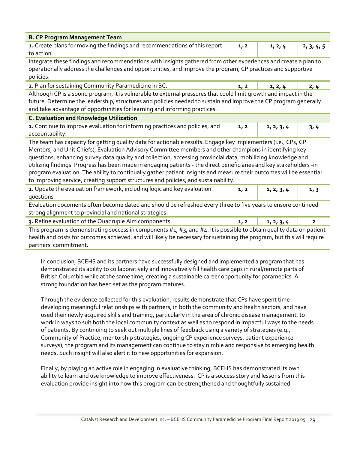| <b>B. CP Program Management Team</b>                                                                                                                                                                                                                                                                                                                                                                                                                                                                                                                                                                                                                                          |      |            |                         |  |  |  |
|-------------------------------------------------------------------------------------------------------------------------------------------------------------------------------------------------------------------------------------------------------------------------------------------------------------------------------------------------------------------------------------------------------------------------------------------------------------------------------------------------------------------------------------------------------------------------------------------------------------------------------------------------------------------------------|------|------------|-------------------------|--|--|--|
| 1. Create plans for moving the findings and recommendations of this report<br>to action.                                                                                                                                                                                                                                                                                                                                                                                                                                                                                                                                                                                      | 1, 2 | 1, 2, 4    | 2, 3, 4, 5              |  |  |  |
| Integrate these findings and recommendations with insights gathered from other experiences and create a plan to<br>operationally address the challenges and opportunities, and improve the program, CP practices and supportive<br>policies.                                                                                                                                                                                                                                                                                                                                                                                                                                  |      |            |                         |  |  |  |
| 2. Plan for sustaining Community Paramedicine in BC.                                                                                                                                                                                                                                                                                                                                                                                                                                                                                                                                                                                                                          | 1, 2 | 1, 2, 4    | 2, 4                    |  |  |  |
| Although CP is a sound program, it is vulnerable to external pressures that could limit growth and impact in the<br>future. Determine the leadership, structures and policies needed to sustain and improve the CP program generally<br>and take advantage of opportunities for learning and informing practices.                                                                                                                                                                                                                                                                                                                                                             |      |            |                         |  |  |  |
| C. Evaluation and Knowledge Utilization                                                                                                                                                                                                                                                                                                                                                                                                                                                                                                                                                                                                                                       |      |            |                         |  |  |  |
| 1. Continue to improve evaluation for informing practices and policies, and<br>1, 2<br>1, 2, 3, 4<br>accountability.                                                                                                                                                                                                                                                                                                                                                                                                                                                                                                                                                          |      |            |                         |  |  |  |
| The team has capacity for getting quality data for actionable results. Engage key implementers (i.e., CPs, CP<br>Mentors, and Unit Chiefs), Evaluation Advisory Committee members and other champions in identifying key<br>questions, enhancing survey data quality and collection, accessing provincial data, mobilizing knowledge and<br>utilizing findings. Progress has been made in engaging patients - the direct beneficiaries and key stakeholders -in<br>program evaluation. The ability to continually gather patient insights and measure their outcomes will be essential<br>to improving service, creating support structures and policies, and sustainability. |      |            |                         |  |  |  |
| 2. Update the evaluation framework, including logic and key evaluation<br>questions                                                                                                                                                                                                                                                                                                                                                                                                                                                                                                                                                                                           | 1, 2 | 1, 2, 3, 4 | 1, 3                    |  |  |  |
| Evaluation documents often become dated and should be refreshed every three to five years to ensure continued<br>strong alignment to provincial and national strategies.                                                                                                                                                                                                                                                                                                                                                                                                                                                                                                      |      |            |                         |  |  |  |
| 3. Refine evaluation of the Quadruple Aim components.                                                                                                                                                                                                                                                                                                                                                                                                                                                                                                                                                                                                                         | 1, 2 | 1, 2, 3, 4 | $\overline{\mathbf{2}}$ |  |  |  |
| This program is demonstrating success in components $#_1$ , $#_3$ , and $#_4$ . It is possible to obtain quality data on patient<br>health and costs for outcomes achieved, and will likely be necessary for sustaining the program, but this will require<br>partners' commitment.                                                                                                                                                                                                                                                                                                                                                                                           |      |            |                         |  |  |  |

In conclusion, BCEHS and its partners have successfully designed and implemented a program that has demonstrated its ability to collaboratively and innovatively fill health care gaps in rural/remote parts of British Columbia while at the same time, creating a sustainable career opportunity for paramedics. A strong foundation has been set as the program matures.

Through the evidence collected for this evaluation, results demonstrate that CPs have spent time developing meaningful relationships with partners, in both the community and health sectors, and have used their newly acquired skills and training, particularly in the area of chronic disease management, to work in ways to suit both the local community context as well as to respond in impactful ways to the needs of patients. By continuing to seek out multiple lines of feedback using a variety of strategies (e.g., Community of Practice, mentorship strategies, ongoing CP experience surveys, patient experience surveys), the program and its management can continue to stay nimble and responsive to emerging health needs. Such insight will also alert it to new opportunities for expansion.

Finally, by playing an active role in engaging in evaluative thinking, BCEHS has demonstrated its own ability to learn and use knowledge to improve effectiveness. CP is a success story and lessons from this evaluation provide insight into how this program can be strengthened and thoughtfully sustained.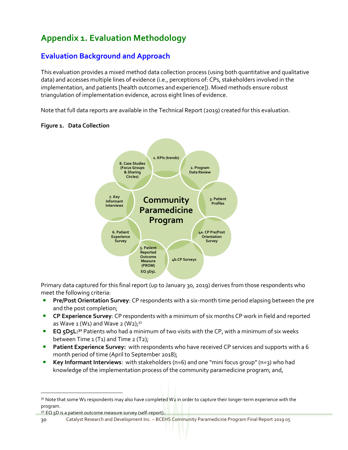# **Appendix 1. Evaluation Methodology**

# **Evaluation Background and Approach**

This evaluation provides a mixed method data collection process (using both quantitative and qualitative data) and accesses multiple lines of evidence (i.e., perceptions of: CPs, stakeholders involved in the implementation, and patients [health outcomes and experience]). Mixed methods ensure robust triangulation of implementation evidence, across eight lines of evidence.

Note that full data reports are available in the Technical Report (2019) created for this evaluation.



#### **Figure 1. Data Collection**

Primary data captured for this final report (up to January 30, 2019) derives from those respondents who meet the following criteria:

- **Pre/Post Orientation Survey**: CP respondents with a six-month time period elapsing between the pre and the post completion;
- **EXP Experience Survey**: CP respondents with a minimum of six months CP work in field and reported as Wave  $1$  (W<sub>1</sub>) and Wave  $2$  (W<sub>2</sub>);<sup>31</sup>
- **EQ 5D5L:**<sup>32</sup> Patients who had a minimum of two visits with the CP, with a minimum of six weeks between Time  $1$  (T<sub>1</sub>) and Time  $2$  (T<sub>2</sub>);
- **Patient Experience Survey:** with respondents who have received CP services and supports with a 6 month period of time (April to September 2018);
- Key Informant Interviews: with stakeholders (n=6) and one "mini focus group" (n=3) who had knowledge of the implementation process of the community paramedicine program; and,

32 EQ 5D is a patient outcome measure survey (self-report).

 $31$  Note that some W1 respondents may also have completed W2 in order to capture their longer-term experience with the program.

<sup>30</sup> Catalyst Research and Development Inc. – BCEHS Community Paramedicine Program Final Report 2019 05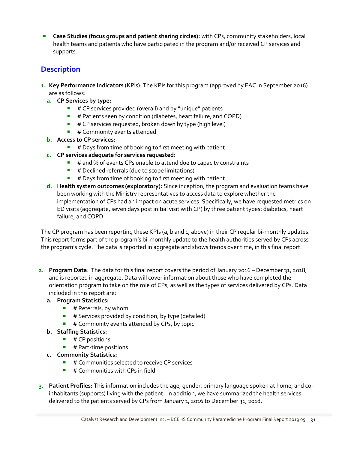**Case Studies (focus groups and patient sharing circles):** with CPs, community stakeholders, local health teams and patients who have participated in the program and/or received CP services and supports.

## **Description**

- **1. Key Performance Indicators** (KPIs): The KPIs for this program (approved by EAC in September 2016) are as follows:
	- **a. CP Services by type:**
		- # CP services provided (overall) and by "unique" patients
		- **■** # Patients seen by condition (diabetes, heart failure, and COPD)
		- $\blacksquare$  # CP services requested, broken down by type (high level)
		- # Community events attended
	- **b. Access to CP services:**
		- $\blacksquare$  # Days from time of booking to first meeting with patient
	- **c. CP services adequate for services requested:**
		- $\blacksquare$  # and % of events CPs unable to attend due to capacity constraints
		- # Declined referrals (due to scope limitations)
		- # Days from time of booking to first meeting with patient
	- **d. Health system outcomes (exploratory):** Since inception, the program and evaluation teams have been working with the Ministry representatives to access data to explore whether the implementation of CPs had an impact on acute services. Specifically, we have requested metrics on ED visits (aggregate, seven days post initial visit with CP) by three patient types: diabetics, heart failure, and COPD.

The CP program has been reporting these KPIs (a, b and c, above) in their CP regular bi-monthly updates. This report forms part of the program's bi-monthly update to the health authorities served by CPs across the program's cycle. The data is reported in aggregate and shows trends over time, in this final report.

- **2. Program Data**: The data for this final report covers the period of January 2016 December 31, 2018, and is reported in aggregate. Data will cover information about those who have completed the orientation program to take on the role of CPs, as well as the types of services delivered by CPs. Data included in this report are:
	- **a. Program Statistics:**
		- $\blacksquare$  # Referrals, by whom
		- $\blacksquare$  # Services provided by condition, by type (detailed)
		- # Community events attended by CPs, by topic
	- **b. Staffing Statistics:**
		- $\blacksquare$  # CP positions
		- $\blacksquare$  # Part-time positions
	- **c. Community Statistics:**
		- # Communities selected to receive CP services
		- $\blacksquare$  # Communities with CPs in field
- **3. Patient Profiles:** This information includes the age, gender, primary language spoken at home, and coinhabitants (supports) living with the patient. In addition, we have summarized the health services delivered to the patients served by CPs from January 1, 2016 to December 31, 2018.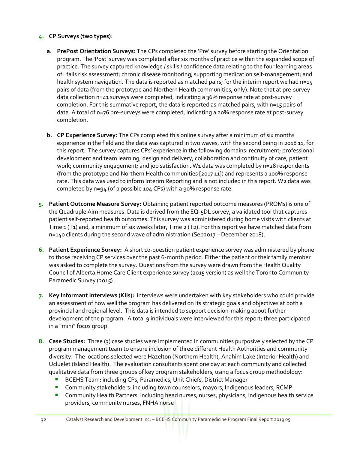#### **4. CP Surveys (two types)**:

- **a. PrePost Orientation Surveys:** The CPs completed the 'Pre' survey before starting the Orientation program. The 'Post' survey was completed after six months of practice within the expanded scope of practice. The survey captured knowledge / skills / confidence data relating to the four learning areas of: falls risk assessment; chronic disease monitoring; supporting medication self-management; and health system navigation. The data is reported as matched pairs; for the interim report we had n=15 pairs of data (from the prototype and Northern Health communities, only). Note that at pre-survey data collection n=41 surveys were completed, indicating a 36% response rate at post-survey completion. For this summative report, the data is reported as matched pairs, with n=15 pairs of data. A total of n=76 pre-surveys were completed, indicating a 20% response rate at post-survey completion.
- **b. CP Experience Survey:** The CPs completed this online survey after a minimum of six months experience in the field and the data was captured in two waves, with the second being in 2018 11, for this report. The survey captures CPs' experience in the following domains: recruitment; professional development and team learning; design and delivery; collaboration and continuity of care; patient work; community engagement; and job satisfaction. W1 data was completed by n=28 respondents (from the prototype and Northern Health communities [2017 11]) and represents a 100% response rate. This data was used to inform Interim Reporting and is not included in this report. W2 data was completed by n=94 (of a possible 104 CPs) with a 90% response rate.
- **5. Patient Outcome Measure Survey:** Obtaining patient reported outcome measures (PROMs) is one of the Quadruple Aim measures. Data is derived from the EQ-5DL survey, a validated tool that captures patient self-reported health outcomes. This survey was administered during home visits with clients at Time 1 (T1) and, a minimum of six weeks later, Time 2 (T2). For this report we have matched data from n=140 clients during the second wave of administration (Sep2017 – December 2018).
- **6. Patient Experience Survey:** A short 10-question patient experience survey was administered by phone to those receiving CP services over the past 6-month period. Either the patient or their family member was asked to complete the survey. Questions from the survey were drawn from the Health Quality Council of Alberta Home Care Client experience survey (2015 version) as well the Toronto Community Paramedic Survey (2015).
- **7. Key Informant Interviews (KIIs):** Interviews were undertaken with key stakeholders who could provide an assessment of how well the program has delivered on its strategic goals and objectives at both a provincial and regional level. This data is intended to support decision-making about further development of the program. A total 9 individuals were interviewed for this report; three participated in a "mini" focus group.
- **8. Case Studies:** Three (3) case studies were implemented in communities purposively selected by the CP program management team to ensure inclusion of three different Health Authorities and community diversity. The locations selected were Hazelton (Northern Health), Anahim Lake (Interior Health) and Ucluelet (Island Health). The evaluation consultants spent one day at each community and collected qualitative data from three groups of key program stakeholders, using a focus group methodology:
	- BCEHS Team: including CPs, Paramedics, Unit Chiefs, District Manager
	- Community stakeholders: including town counselors, mayors, Indigenous leaders, RCMP
	- Community Health Partners: including head nurses, nurses, physicians, Indigenous health service providers, community nurses, FNHA nurse